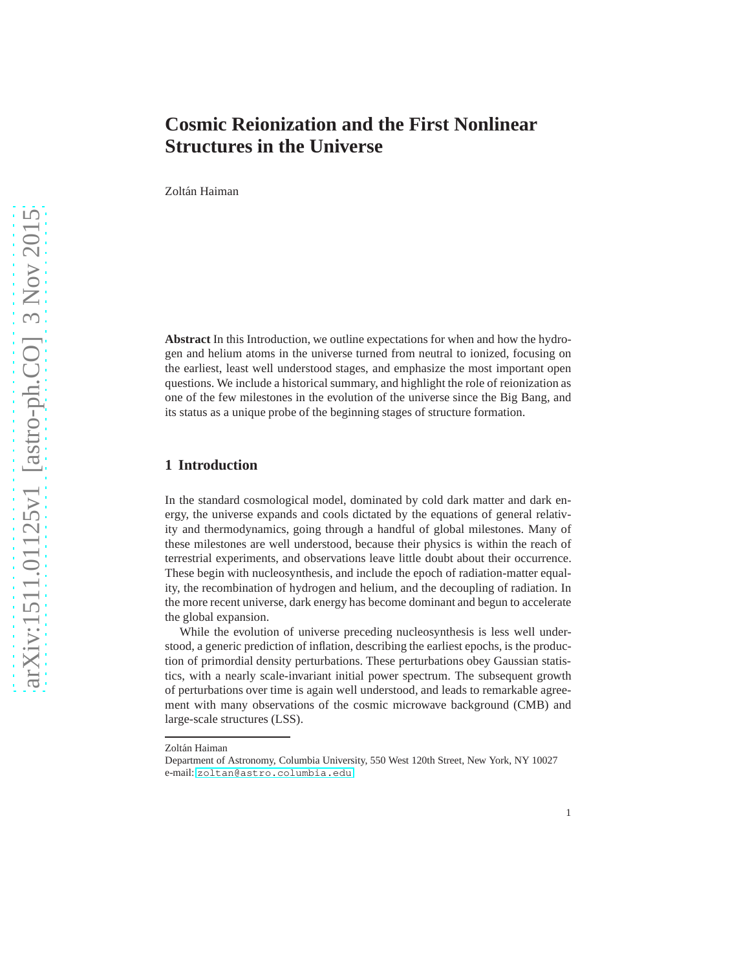# **Cosmic Reionization and the First Nonlinear Structures in the Universe**

Zoltán Haiman

**Abstract** In this Introduction, we outline expectations for when and how the hydrogen and helium atoms in the universe turned from neutral to ionized, focusing on the earliest, least well understood stages, and emphasize the most important open questions. We include a historical summary, and highlight the role of reionization as one of the few milestones in the evolution of the universe since the Big Bang, and its status as a unique probe of the beginning stages of structure formation.

# **1 Introduction**

In the standard cosmological model, dominated by cold dark matter and dark energy, the universe expands and cools dictated by the equations of general relativity and thermodynamics, going through a handful of global milestones. Many of these milestones are well understood, because their physics is within the reach of terrestrial experiments, and observations leave little doubt about their occurrence. These begin with nucleosynthesis, and include the epoch of radiation-matter equality, the recombination of hydrogen and helium, and the decoupling of radiation. In the more recent universe, dark energy has become dominant and begun to accelerate the global expansion.

While the evolution of universe preceding nucleosynthesis is less well understood, a generic prediction of inflation, describing the earliest epochs, is the production of primordial density perturbations. These perturbations obey Gaussian statistics, with a nearly scale-invariant initial power spectrum. The subsequent growth of perturbations over time is again well understood, and leads to remarkable agreement with many observations of the cosmic microwave background (CMB) and large-scale structures (LSS).

Zoltán Haiman

Department of Astronomy, Columbia University, 550 West 120th Street, New York, NY 10027 e-mail: <zoltan@astro.columbia.edu>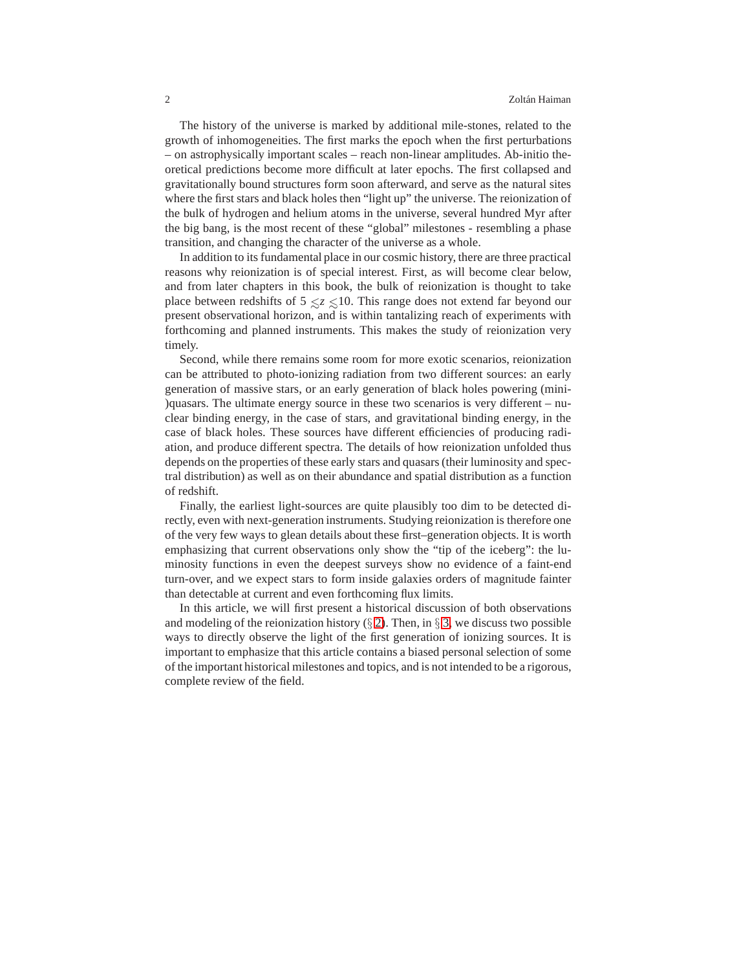The history of the universe is marked by additional mile-stones, related to the growth of inhomogeneities. The first marks the epoch when the first perturbations – on astrophysically important scales – reach non-linear amplitudes. Ab-initio theoretical predictions become more difficult at later epochs. The first collapsed and gravitationally bound structures form soon afterward, and serve as the natural sites where the first stars and black holes then "light up" the universe. The reionization of the bulk of hydrogen and helium atoms in the universe, several hundred Myr after the big bang, is the most recent of these "global" milestones - resembling a phase transition, and changing the character of the universe as a whole.

In addition to its fundamental place in our cosmic history, there are three practical reasons why reionization is of special interest. First, as will become clear below, and from later chapters in this book, the bulk of reionization is thought to take place between redshifts of  $5 \leq z \leq 10$ . This range does not extend far beyond our present observational horizon, and is within tantalizing reach of experiments with forthcoming and planned instruments. This makes the study of reionization very timely.

Second, while there remains some room for more exotic scenarios, reionization can be attributed to photo-ionizing radiation from two different sources: an early generation of massive stars, or an early generation of black holes powering (mini- )quasars. The ultimate energy source in these two scenarios is very different – nuclear binding energy, in the case of stars, and gravitational binding energy, in the case of black holes. These sources have different efficiencies of producing radiation, and produce different spectra. The details of how reionization unfolded thus depends on the properties of these early stars and quasars (their luminosity and spectral distribution) as well as on their abundance and spatial distribution as a function of redshift.

Finally, the earliest light-sources are quite plausibly too dim to be detected directly, even with next-generation instruments. Studying reionization is therefore one of the very few ways to glean details about these first–generation objects. It is worth emphasizing that current observations only show the "tip of the iceberg": the luminosity functions in even the deepest surveys show no evidence of a faint-end turn-over, and we expect stars to form inside galaxies orders of magnitude fainter than detectable at current and even forthcoming flux limits.

In this article, we will first present a historical discussion of both observations and modeling of the reionization history ( $\S$  [2\)](#page-2-0). Then, in  $\S$  [3,](#page-12-0) we discuss two possible ways to directly observe the light of the first generation of ionizing sources. It is important to emphasize that this article contains a biased personal selection of some of the important historical milestones and topics, and is not intended to be a rigorous, complete review of the field.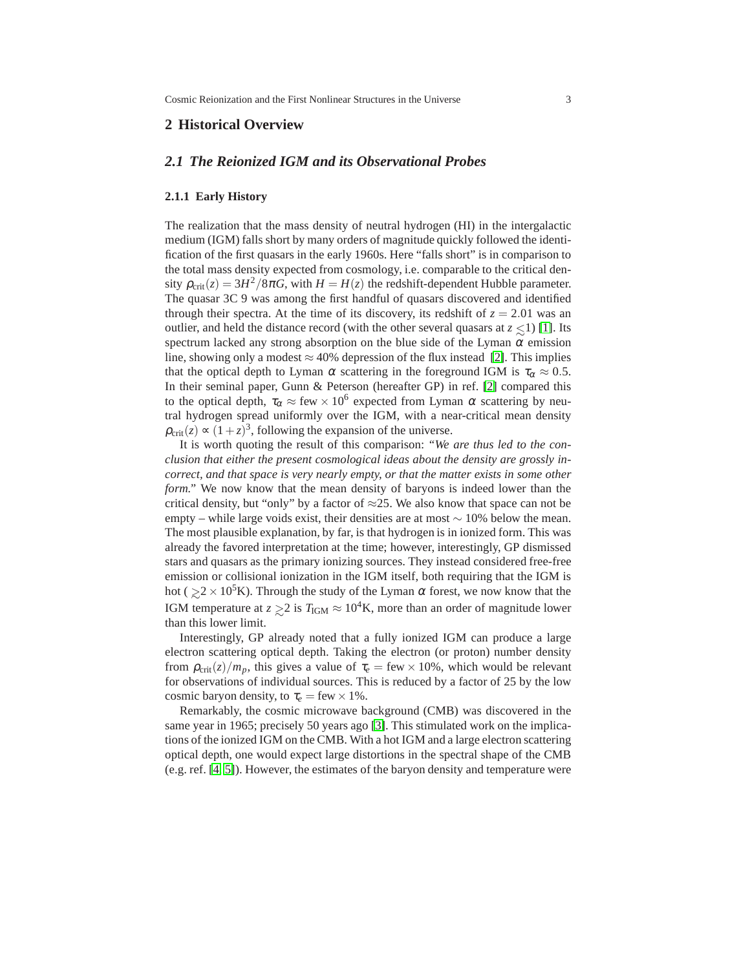# <span id="page-2-0"></span>**2 Historical Overview**

## *2.1 The Reionized IGM and its Observational Probes*

## **2.1.1 Early History**

The realization that the mass density of neutral hydrogen (HI) in the intergalactic medium (IGM) falls short by many orders of magnitude quickly followed the identification of the first quasars in the early 1960s. Here "falls short" is in comparison to the total mass density expected from cosmology, i.e. comparable to the critical density  $\rho_{\text{crit}}(z) = 3H^2/8\pi G$ , with  $H = H(z)$  the redshift-dependent Hubble parameter. The quasar 3C 9 was among the first handful of quasars discovered and identified through their spectra. At the time of its discovery, its redshift of  $z = 2.01$  was an outlier, and held the distance record (with the other several quasars at  $z \leq 1$ ) [\[1\]](#page-14-0). Its spectrum lacked any strong absorption on the blue side of the Lyman  $\alpha$  emission line, showing only a modest  $\approx$  40% depression of the flux instead [\[2\]](#page-14-1). This implies that the optical depth to Lyman  $\alpha$  scattering in the foreground IGM is  $\tau_{\alpha} \approx 0.5$ . In their seminal paper, Gunn & Peterson (hereafter GP) in ref. [\[2\]](#page-14-1) compared this to the optical depth,  $\tau_{\alpha} \approx \text{few} \times 10^6$  expected from Lyman  $\alpha$  scattering by neutral hydrogen spread uniformly over the IGM, with a near-critical mean density  $\rho_{\rm crit}(z) \propto (1+z)^3$ , following the expansion of the universe.

It is worth quoting the result of this comparison: *"We are thus led to the conclusion that either the present cosmological ideas about the density are grossly incorrect, and that space is very nearly empty, or that the matter exists in some other form.*" We now know that the mean density of baryons is indeed lower than the critical density, but "only" by a factor of  $\approx$ 25. We also know that space can not be empty – while large voids exist, their densities are at most ∼ 10% below the mean. The most plausible explanation, by far, is that hydrogen is in ionized form. This was already the favored interpretation at the time; however, interestingly, GP dismissed stars and quasars as the primary ionizing sources. They instead considered free-free emission or collisional ionization in the IGM itself, both requiring that the IGM is hot (  $\gtrsim$  2 × 10<sup>5</sup>K). Through the study of the Lyman  $\alpha$  forest, we now know that the IGM temperature at *z*  $\geq$  2 is *T*<sub>IGM</sub> ≈ 10<sup>4</sup>K, more than an order of magnitude lower than this lower limit.

Interestingly, GP already noted that a fully ionized IGM can produce a large electron scattering optical depth. Taking the electron (or proton) number density from  $\rho_{\text{crit}}(z)/m_p$ , this gives a value of  $\tau_e = \text{few} \times 10\%$ , which would be relevant for observations of individual sources. This is reduced by a factor of 25 by the low cosmic baryon density, to  $\tau_e = \text{few} \times 1\%$ .

Remarkably, the cosmic microwave background (CMB) was discovered in the same year in 1965; precisely 50 years ago [\[3\]](#page-14-2). This stimulated work on the implications of the ionized IGM on the CMB. With a hot IGM and a large electron scattering optical depth, one would expect large distortions in the spectral shape of the CMB (e.g. ref. [\[4,](#page-14-3) [5\]](#page-14-4)). However, the estimates of the baryon density and temperature were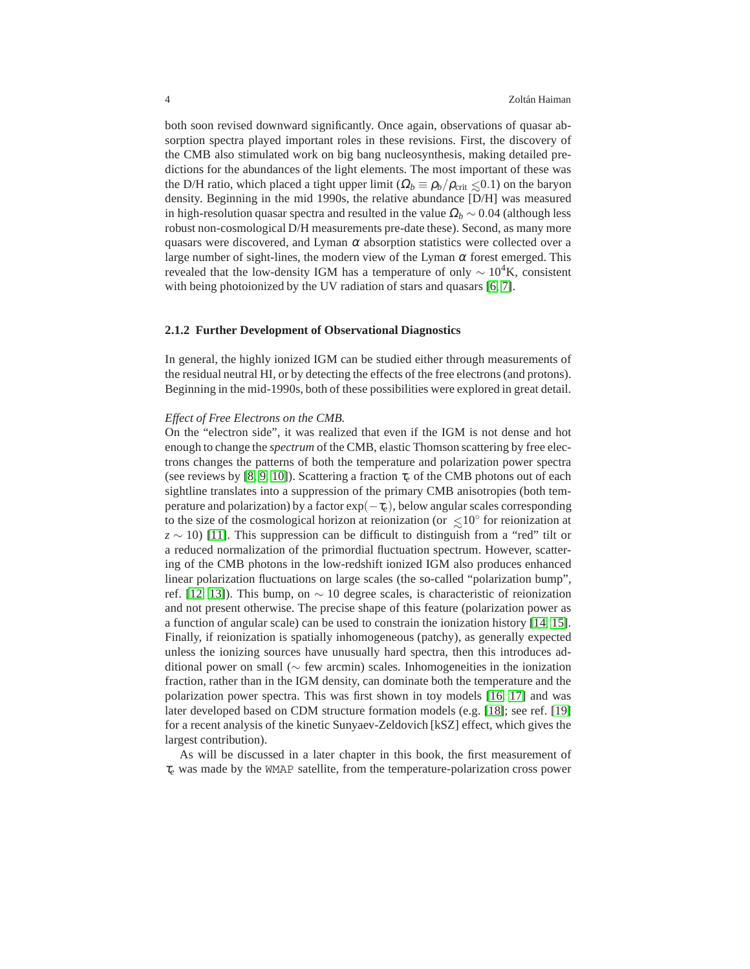both soon revised downward significantly. Once again, observations of quasar absorption spectra played important roles in these revisions. First, the discovery of the CMB also stimulated work on big bang nucleosynthesis, making detailed predictions for the abundances of the light elements. The most important of these was the D/H ratio, which placed a tight upper limit ( $\Omega_b \equiv \rho_b / \rho_{\rm crit} \leq 0.1$ ) on the baryon density. Beginning in the mid 1990s, the relative abundance [D/H] was measured in high-resolution quasar spectra and resulted in the value  $\Omega_b \sim 0.04$  (although less robust non-cosmological D/H measurements pre-date these). Second, as many more quasars were discovered, and Lyman  $\alpha$  absorption statistics were collected over a large number of sight-lines, the modern view of the Lyman  $\alpha$  forest emerged. This revealed that the low-density IGM has a temperature of only  $\sim 10^4$ K, consistent with being photoionized by the UV radiation of stars and quasars [\[6,](#page-14-5) [7\]](#page-14-6).

## **2.1.2 Further Development of Observational Diagnostics**

In general, the highly ionized IGM can be studied either through measurements of the residual neutral HI, or by detecting the effects of the free electrons (and protons). Beginning in the mid-1990s, both of these possibilities were explored in great detail.

#### *Effect of Free Electrons on the CMB.*

On the "electron side", it was realized that even if the IGM is not dense and hot enough to change the *spectrum* of the CMB, elastic Thomson scattering by free electrons changes the patterns of both the temperature and polarization power spectra (see reviews by [\[8,](#page-14-7) [9,](#page-14-8) [10\]](#page-14-9)). Scattering a fraction  $\tau_e$  of the CMB photons out of each sightline translates into a suppression of the primary CMB anisotropies (both temperature and polarization) by a factor exp(−<sup>τ</sup>*e*), below angular scales corresponding to the size of the cosmological horizon at reionization (or  $\lesssim 10^{\circ}$  for reionization at *z* ∼ 10) [\[11\]](#page-14-10). This suppression can be difficult to distinguish from a "red" tilt or a reduced normalization of the primordial fluctuation spectrum. However, scattering of the CMB photons in the low-redshift ionized IGM also produces enhanced linear polarization fluctuations on large scales (the so-called "polarization bump", ref. [\[12,](#page-14-11) [13\]](#page-14-12)). This bump, on  $\sim$  10 degree scales, is characteristic of reionization and not present otherwise. The precise shape of this feature (polarization power as a function of angular scale) can be used to constrain the ionization history [\[14,](#page-14-13) [15\]](#page-14-14). Finally, if reionization is spatially inhomogeneous (patchy), as generally expected unless the ionizing sources have unusually hard spectra, then this introduces additional power on small (∼ few arcmin) scales. Inhomogeneities in the ionization fraction, rather than in the IGM density, can dominate both the temperature and the polarization power spectra. This was first shown in toy models [\[16,](#page-14-15) [17\]](#page-14-16) and was later developed based on CDM structure formation models (e.g. [\[18\]](#page-14-17); see ref. [\[19\]](#page-14-18) for a recent analysis of the kinetic Sunyaev-Zeldovich [kSZ] effect, which gives the largest contribution).

As will be discussed in a later chapter in this book, the first measurement of <sup>τ</sup>*<sup>e</sup>* was made by the WMAP satellite, from the temperature-polarization cross power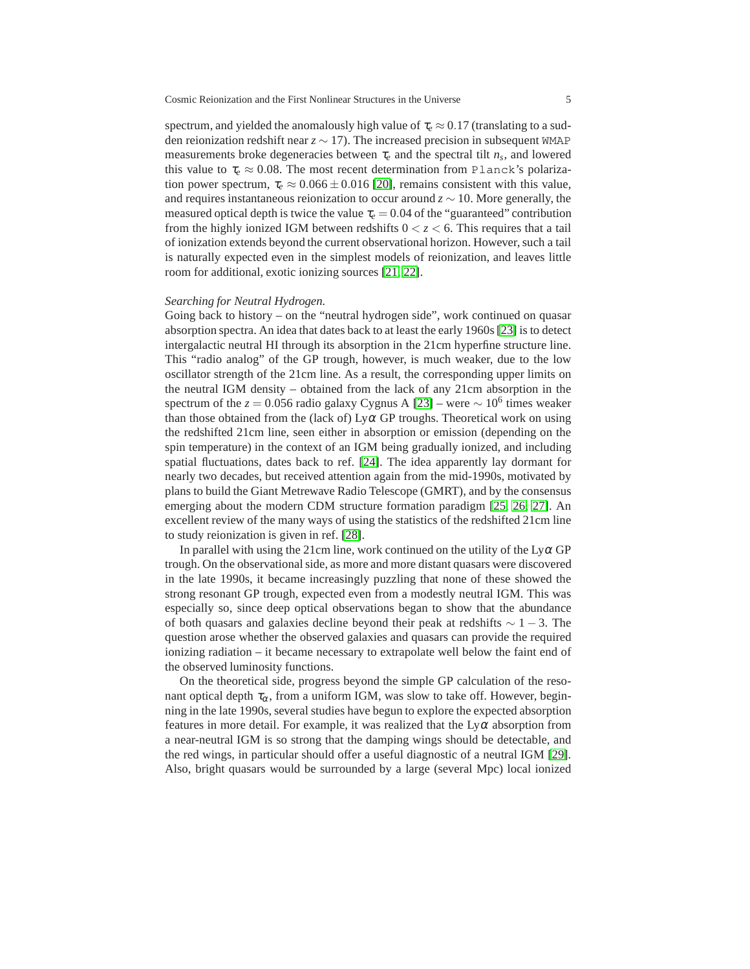spectrum, and yielded the anomalously high value of  $\tau_e \approx 0.17$  (translating to a sudden reionization redshift near *z* ∼ 17). The increased precision in subsequent WMAP measurements broke degeneracies between  $\tau_e$  and the spectral tilt  $n_s$ , and lowered this value to  $\tau_e \approx 0.08$ . The most recent determination from Planck's polarization power spectrum,  $\tau_e \approx 0.066 \pm 0.016$  [\[20\]](#page-14-19), remains consistent with this value, and requires instantaneous reionization to occur around *z* ∼ 10. More generally, the measured optical depth is twice the value  $\tau_e = 0.04$  of the "guaranteed" contribution from the highly ionized IGM between redshifts  $0 < z < 6$ . This requires that a tail of ionization extends beyond the current observational horizon. However, such a tail is naturally expected even in the simplest models of reionization, and leaves little room for additional, exotic ionizing sources [\[21,](#page-14-20) [22\]](#page-14-21).

## *Searching for Neutral Hydrogen.*

Going back to history – on the "neutral hydrogen side", work continued on quasar absorption spectra. An idea that dates back to at least the early 1960s [\[23\]](#page-15-0) is to detect intergalactic neutral HI through its absorption in the 21cm hyperfine structure line. This "radio analog" of the GP trough, however, is much weaker, due to the low oscillator strength of the 21cm line. As a result, the corresponding upper limits on the neutral IGM density – obtained from the lack of any 21cm absorption in the spectrum of the  $z = 0.056$  radio galaxy Cygnus A [\[23\]](#page-15-0) – were  $\sim 10^6$  times weaker than those obtained from the (lack of)  $Ly\alpha$  GP troughs. Theoretical work on using the redshifted 21cm line, seen either in absorption or emission (depending on the spin temperature) in the context of an IGM being gradually ionized, and including spatial fluctuations, dates back to ref. [\[24\]](#page-15-1). The idea apparently lay dormant for nearly two decades, but received attention again from the mid-1990s, motivated by plans to build the Giant Metrewave Radio Telescope (GMRT), and by the consensus emerging about the modern CDM structure formation paradigm [\[25,](#page-15-2) [26,](#page-15-3) [27\]](#page-15-4). An excellent review of the many ways of using the statistics of the redshifted 21cm line to study reionization is given in ref. [\[28\]](#page-15-5).

In parallel with using the 21cm line, work continued on the utility of the  $Ly\alpha$  GP trough. On the observational side, as more and more distant quasars were discovered in the late 1990s, it became increasingly puzzling that none of these showed the strong resonant GP trough, expected even from a modestly neutral IGM. This was especially so, since deep optical observations began to show that the abundance of both quasars and galaxies decline beyond their peak at redshifts  $\sim 1 - 3$ . The question arose whether the observed galaxies and quasars can provide the required ionizing radiation – it became necessary to extrapolate well below the faint end of the observed luminosity functions.

On the theoretical side, progress beyond the simple GP calculation of the resonant optical depth  $\tau_{\alpha}$ , from a uniform IGM, was slow to take off. However, beginning in the late 1990s, several studies have begun to explore the expected absorption features in more detail. For example, it was realized that the  $Ly\alpha$  absorption from a near-neutral IGM is so strong that the damping wings should be detectable, and the red wings, in particular should offer a useful diagnostic of a neutral IGM [\[29\]](#page-15-6). Also, bright quasars would be surrounded by a large (several Mpc) local ionized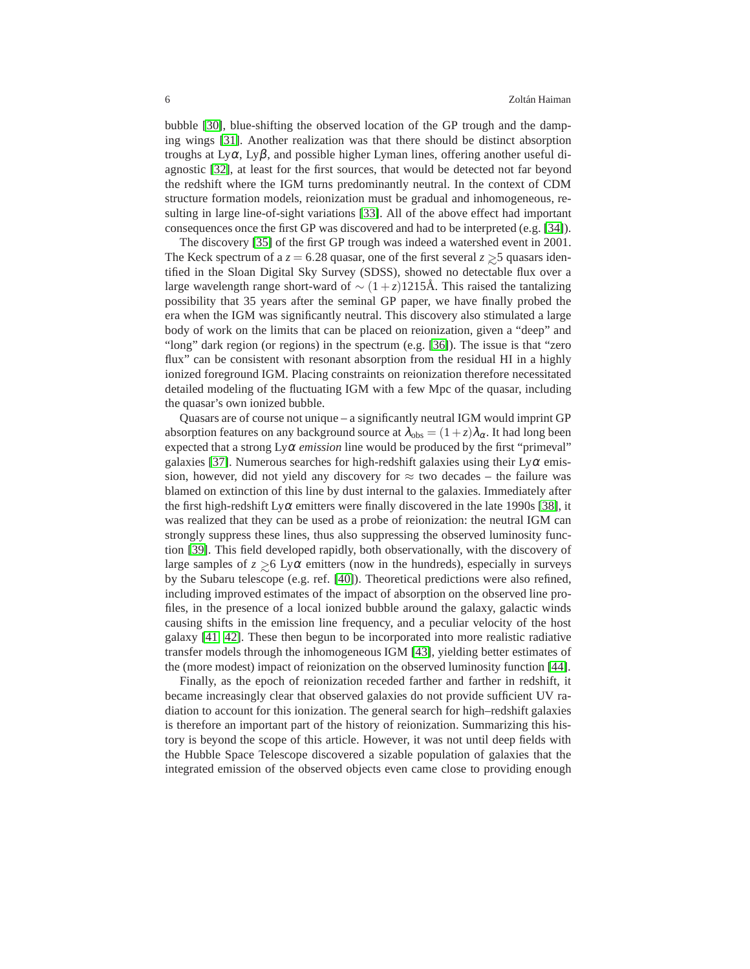bubble [\[30\]](#page-15-7), blue-shifting the observed location of the GP trough and the damping wings [\[31\]](#page-15-8). Another realization was that there should be distinct absorption troughs at Ly $\alpha$ , Ly $\beta$ , and possible higher Lyman lines, offering another useful diagnostic [\[32\]](#page-15-9), at least for the first sources, that would be detected not far beyond the redshift where the IGM turns predominantly neutral. In the context of CDM structure formation models, reionization must be gradual and inhomogeneous, resulting in large line-of-sight variations [\[33\]](#page-15-10). All of the above effect had important consequences once the first GP was discovered and had to be interpreted (e.g. [\[34\]](#page-15-11)).

The discovery [\[35\]](#page-15-12) of the first GP trough was indeed a watershed event in 2001. The Keck spectrum of a *z* = 6.28 quasar, one of the first several *z*  $\geq$ 5 quasars identified in the Sloan Digital Sky Survey (SDSS), showed no detectable flux over a large wavelength range short-ward of  $\sim (1 + z)1215$ Å. This raised the tantalizing possibility that 35 years after the seminal GP paper, we have finally probed the era when the IGM was significantly neutral. This discovery also stimulated a large body of work on the limits that can be placed on reionization, given a "deep" and "long" dark region (or regions) in the spectrum (e.g. [\[36\]](#page-15-13)). The issue is that "zero flux" can be consistent with resonant absorption from the residual HI in a highly ionized foreground IGM. Placing constraints on reionization therefore necessitated detailed modeling of the fluctuating IGM with a few Mpc of the quasar, including the quasar's own ionized bubble.

Quasars are of course not unique – a significantly neutral IGM would imprint GP absorption features on any background source at  $\lambda_{obs} = (1+z)\lambda_{\alpha}$ . It had long been expected that a strong  $Ly\alpha$  *emission* line would be produced by the first "primeval" galaxies [\[37\]](#page-15-14). Numerous searches for high-redshift galaxies using their  $Ly\alpha$  emission, however, did not yield any discovery for  $\approx$  two decades – the failure was blamed on extinction of this line by dust internal to the galaxies. Immediately after the first high-redshift  $Ly\alpha$  emitters were finally discovered in the late 1990s [\[38\]](#page-15-15), it was realized that they can be used as a probe of reionization: the neutral IGM can strongly suppress these lines, thus also suppressing the observed luminosity function [\[39\]](#page-15-16). This field developed rapidly, both observationally, with the discovery of large samples of *z*  $\geq$  6 Lyα emitters (now in the hundreds), especially in surveys by the Subaru telescope (e.g. ref. [\[40\]](#page-15-17)). Theoretical predictions were also refined, including improved estimates of the impact of absorption on the observed line profiles, in the presence of a local ionized bubble around the galaxy, galactic winds causing shifts in the emission line frequency, and a peculiar velocity of the host galaxy [\[41,](#page-15-18) [42\]](#page-15-19). These then begun to be incorporated into more realistic radiative transfer models through the inhomogeneous IGM [\[43\]](#page-15-20), yielding better estimates of the (more modest) impact of reionization on the observed luminosity function [\[44\]](#page-15-21).

Finally, as the epoch of reionization receded farther and farther in redshift, it became increasingly clear that observed galaxies do not provide sufficient UV radiation to account for this ionization. The general search for high–redshift galaxies is therefore an important part of the history of reionization. Summarizing this history is beyond the scope of this article. However, it was not until deep fields with the Hubble Space Telescope discovered a sizable population of galaxies that the integrated emission of the observed objects even came close to providing enough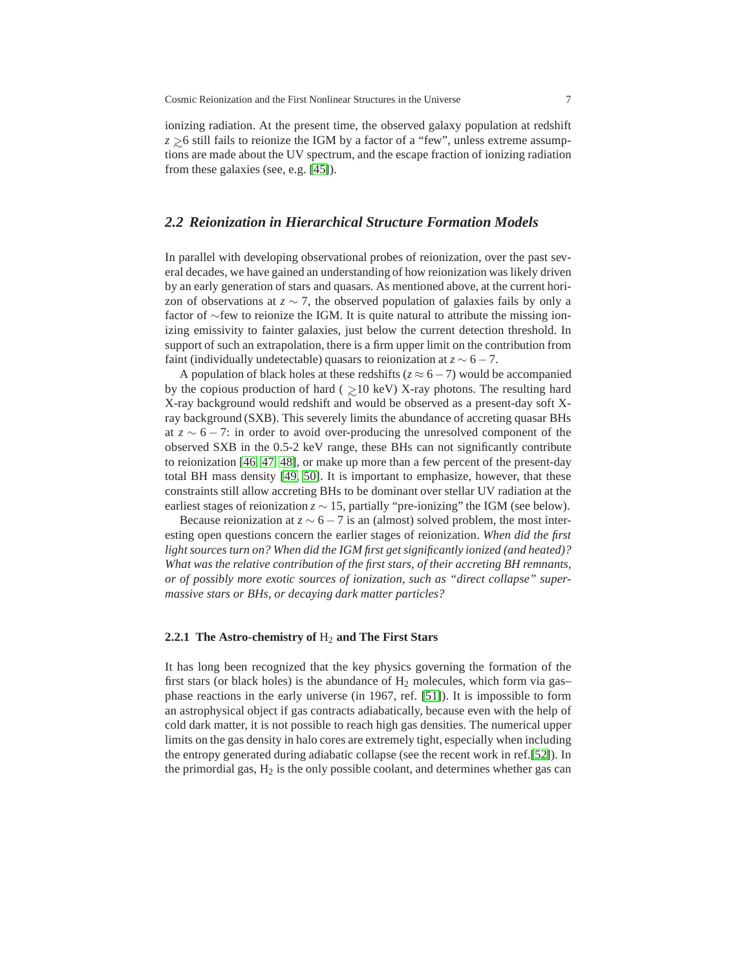ionizing radiation. At the present time, the observed galaxy population at redshift *z* > 6 still fails to reionize the IGM by a factor of a "few", unless extreme assumptions are made about the UV spectrum, and the escape fraction of ionizing radiation from these galaxies (see, e.g. [\[45\]](#page-15-22)).

# *2.2 Reionization in Hierarchical Structure Formation Models*

In parallel with developing observational probes of reionization, over the past several decades, we have gained an understanding of how reionization was likely driven by an early generation of stars and quasars. As mentioned above, at the current horizon of observations at *z* ∼ 7, the observed population of galaxies fails by only a factor of ∼few to reionize the IGM. It is quite natural to attribute the missing ionizing emissivity to fainter galaxies, just below the current detection threshold. In support of such an extrapolation, there is a firm upper limit on the contribution from faint (individually undetectable) quasars to reionization at  $z \sim 6-7$ .

A population of black holes at these redshifts ( $z \approx 6-7$ ) would be accompanied by the copious production of hard (  $\gtrsim$  10 keV) X-ray photons. The resulting hard X-ray background would redshift and would be observed as a present-day soft Xray background (SXB). This severely limits the abundance of accreting quasar BHs at  $z \sim 6 - 7$ : in order to avoid over-producing the unresolved component of the observed SXB in the 0.5-2 keV range, these BHs can not significantly contribute to reionization [\[46,](#page-15-23) [47,](#page-15-24) [48\]](#page-16-0), or make up more than a few percent of the present-day total BH mass density [\[49,](#page-16-1) [50\]](#page-16-2). It is important to emphasize, however, that these constraints still allow accreting BHs to be dominant over stellar UV radiation at the earliest stages of reionization *z* ∼ 15, partially "pre-ionizing" the IGM (see below).

Because reionization at  $z \sim 6 - 7$  is an (almost) solved problem, the most interesting open questions concern the earlier stages of reionization. *When did the first light sources turn on? When did the IGM first get significantly ionized (and heated)? What was the relative contribution of the first stars, of their accreting BH remnants, or of possibly more exotic sources of ionization, such as "direct collapse" supermassive stars or BHs, or decaying dark matter particles?*

## **2.2.1 The Astro-chemistry of** H<sup>2</sup> **and The First Stars**

It has long been recognized that the key physics governing the formation of the first stars (or black holes) is the abundance of  $H_2$  molecules, which form via gas– phase reactions in the early universe (in 1967, ref. [\[51\]](#page-16-3)). It is impossible to form an astrophysical object if gas contracts adiabatically, because even with the help of cold dark matter, it is not possible to reach high gas densities. The numerical upper limits on the gas density in halo cores are extremely tight, especially when including the entropy generated during adiabatic collapse (see the recent work in ref.[\[52\]](#page-16-4)). In the primordial gas,  $H_2$  is the only possible coolant, and determines whether gas can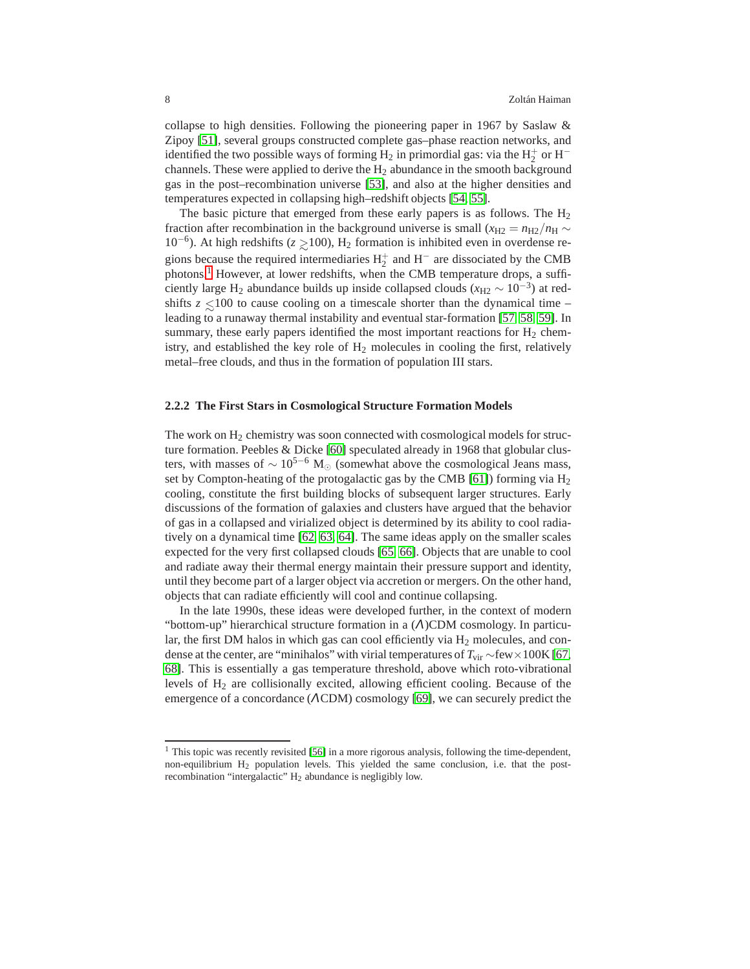collapse to high densities. Following the pioneering paper in 1967 by Saslaw & Zipoy [\[51\]](#page-16-3), several groups constructed complete gas–phase reaction networks, and identified the two possible ways of forming  $\rm H_2$  in primordial gas: via the  $\rm H_2^+$  or  $\rm H^$ channels. These were applied to derive the  $H_2$  abundance in the smooth background gas in the post–recombination universe [\[53\]](#page-16-5), and also at the higher densities and temperatures expected in collapsing high–redshift objects [\[54,](#page-16-6) [55\]](#page-16-7).

The basic picture that emerged from these early papers is as follows. The  $H_2$ fraction after recombination in the background universe is small ( $x_{H2} = n_{H2}/n_H \sim$ 10<sup>-6</sup>). At high redshifts (*z* > 100), H<sub>2</sub> formation is inhibited even in overdense regions because the required intermediaries  $H_2^+$  and  $H^-$  are dissociated by the CMB photons.<sup>[1](#page-7-0)</sup> However, at lower redshifts, when the CMB temperature drops, a sufficiently large H<sub>2</sub> abundance builds up inside collapsed clouds ( $x_{H2} \sim 10^{-3}$ ) at redshifts  $z \le 100$  to cause cooling on a timescale shorter than the dynamical time – leading to a runaway thermal instability and eventual star-formation [\[57,](#page-16-8) [58,](#page-16-9) [59\]](#page-16-10). In summary, these early papers identified the most important reactions for  $H_2$  chemistry, and established the key role of  $H_2$  molecules in cooling the first, relatively metal–free clouds, and thus in the formation of population III stars.

#### **2.2.2 The First Stars in Cosmological Structure Formation Models**

The work on  $H_2$  chemistry was soon connected with cosmological models for structure formation. Peebles & Dicke [\[60\]](#page-16-11) speculated already in 1968 that globular clusters, with masses of  $\sim 10^{5-6}$  M<sub>☉</sub> (somewhat above the cosmological Jeans mass, set by Compton-heating of the protogalactic gas by the CMB [\[61\]](#page-16-12)) forming via  $H_2$ cooling, constitute the first building blocks of subsequent larger structures. Early discussions of the formation of galaxies and clusters have argued that the behavior of gas in a collapsed and virialized object is determined by its ability to cool radiatively on a dynamical time [\[62,](#page-16-13) [63,](#page-16-14) [64\]](#page-16-15). The same ideas apply on the smaller scales expected for the very first collapsed clouds [\[65,](#page-16-16) [66\]](#page-16-17). Objects that are unable to cool and radiate away their thermal energy maintain their pressure support and identity, until they become part of a larger object via accretion or mergers. On the other hand, objects that can radiate efficiently will cool and continue collapsing.

In the late 1990s, these ideas were developed further, in the context of modern "bottom-up" hierarchical structure formation in a (Λ)CDM cosmology. In particular, the first DM halos in which gas can cool efficiently via  $H_2$  molecules, and condense at the center, are "minihalos" with virial temperatures of *T*vir ∼few×100K [\[67,](#page-16-18) [68\]](#page-16-19). This is essentially a gas temperature threshold, above which roto-vibrational levels of  $H_2$  are collisionally excited, allowing efficient cooling. Because of the emergence of a concordance (ΛCDM) cosmology [\[69\]](#page-16-20), we can securely predict the

<span id="page-7-0"></span><sup>&</sup>lt;sup>1</sup> This topic was recently revisited [\[56\]](#page-16-21) in a more rigorous analysis, following the time-dependent, non-equilibrium H<sup>2</sup> population levels. This yielded the same conclusion, i.e. that the postrecombination "intergalactic"  $H_2$  abundance is negligibly low.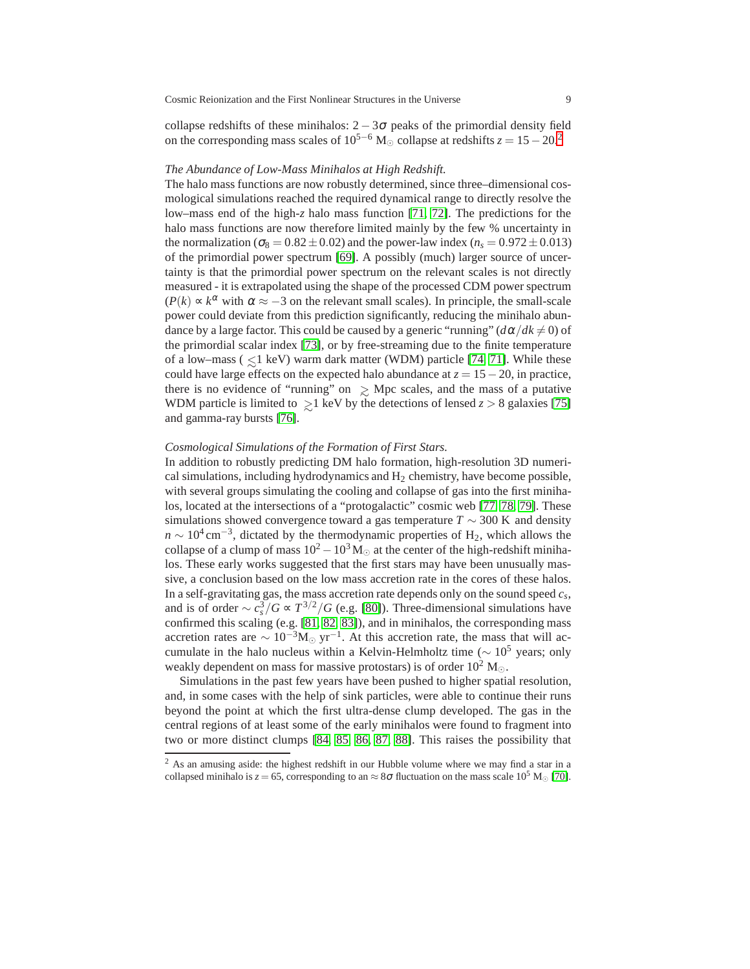collapse redshifts of these minihalos:  $2 - 3\sigma$  peaks of the primordial density field on the corresponding mass scales of  $10^{5-6}$  M<sub>☉</sub> collapse at redshifts  $z = 15-20.2$  $z = 15-20.2$  $z = 15-20.2$ 

#### *The Abundance of Low-Mass Minihalos at High Redshift.*

The halo mass functions are now robustly determined, since three–dimensional cosmological simulations reached the required dynamical range to directly resolve the low–mass end of the high-*z* halo mass function [\[71,](#page-16-22) [72\]](#page-16-23). The predictions for the halo mass functions are now therefore limited mainly by the few % uncertainty in the normalization ( $\sigma_8 = 0.82 \pm 0.02$ ) and the power-law index ( $n_s = 0.972 \pm 0.013$ ) of the primordial power spectrum [\[69\]](#page-16-20). A possibly (much) larger source of uncertainty is that the primordial power spectrum on the relevant scales is not directly measured - it is extrapolated using the shape of the processed CDM power spectrum  $(P(k) \propto k^{\alpha}$  with  $\alpha \approx -3$  on the relevant small scales). In principle, the small-scale power could deviate from this prediction significantly, reducing the minihalo abundance by a large factor. This could be caused by a generic "running"  $(d\alpha/dk \neq 0)$  of the primordial scalar index [\[73\]](#page-17-0), or by free-streaming due to the finite temperature of a low–mass (  $\leq 1$  keV) warm dark matter (WDM) particle [\[74,](#page-17-1) [71\]](#page-16-22). While these could have large effects on the expected halo abundance at  $z = 15-20$ , in practice, there is no evidence of "running" on  $\geq$  Mpc scales, and the mass of a putative WDM particle is limited to  $\geq 1$  keV by the detections of lensed *z* > 8 galaxies [\[75\]](#page-17-2) and gamma-ray bursts [\[76\]](#page-17-3).

## *Cosmological Simulations of the Formation of First Stars.*

In addition to robustly predicting DM halo formation, high-resolution 3D numerical simulations, including hydrodynamics and  $H_2$  chemistry, have become possible, with several groups simulating the cooling and collapse of gas into the first minihalos, located at the intersections of a "protogalactic" cosmic web [\[77,](#page-17-4) [78,](#page-17-5) [79\]](#page-17-6). These simulations showed convergence toward a gas temperature  $T \sim 300$  K and density  $n \sim 10^4 \text{ cm}^{-3}$ , dictated by the thermodynamic properties of H<sub>2</sub>, which allows the collapse of a clump of mass  $10^2 - 10^3$  M<sub>⊙</sub> at the center of the high-redshift minihalos. These early works suggested that the first stars may have been unusually massive, a conclusion based on the low mass accretion rate in the cores of these halos. In a self-gravitating gas, the mass accretion rate depends only on the sound speed *c<sup>s</sup>* , and is of order  $\sim c_s^3/G \propto T^{3/2}/G$  (e.g. [\[80\]](#page-17-7)). Three-dimensional simulations have confirmed this scaling (e.g. [\[81,](#page-17-8) [82,](#page-17-9) [83\]](#page-17-10)), and in minihalos, the corresponding mass accretion rates are  $\sim 10^{-3} M_{\odot}$  yr<sup>-1</sup>. At this accretion rate, the mass that will accumulate in the halo nucleus within a Kelvin-Helmholtz time ( $\sim 10^5$  years; only weakly dependent on mass for massive protostars) is of order  $10^2$  M<sub>☉</sub>.

Simulations in the past few years have been pushed to higher spatial resolution, and, in some cases with the help of sink particles, were able to continue their runs beyond the point at which the first ultra-dense clump developed. The gas in the central regions of at least some of the early minihalos were found to fragment into two or more distinct clumps [\[84,](#page-17-11) [85,](#page-17-12) [86,](#page-17-13) [87,](#page-17-14) [88\]](#page-17-15). This raises the possibility that

<span id="page-8-0"></span> $2$  As an amusing aside: the highest redshift in our Hubble volume where we may find a star in a collapsed minihalo is  $z = 65$ , corresponding to an  $\approx 8\sigma$  fluctuation on the mass scale 10<sup>5</sup> M<sub>☉</sub> [\[70\]](#page-16-24).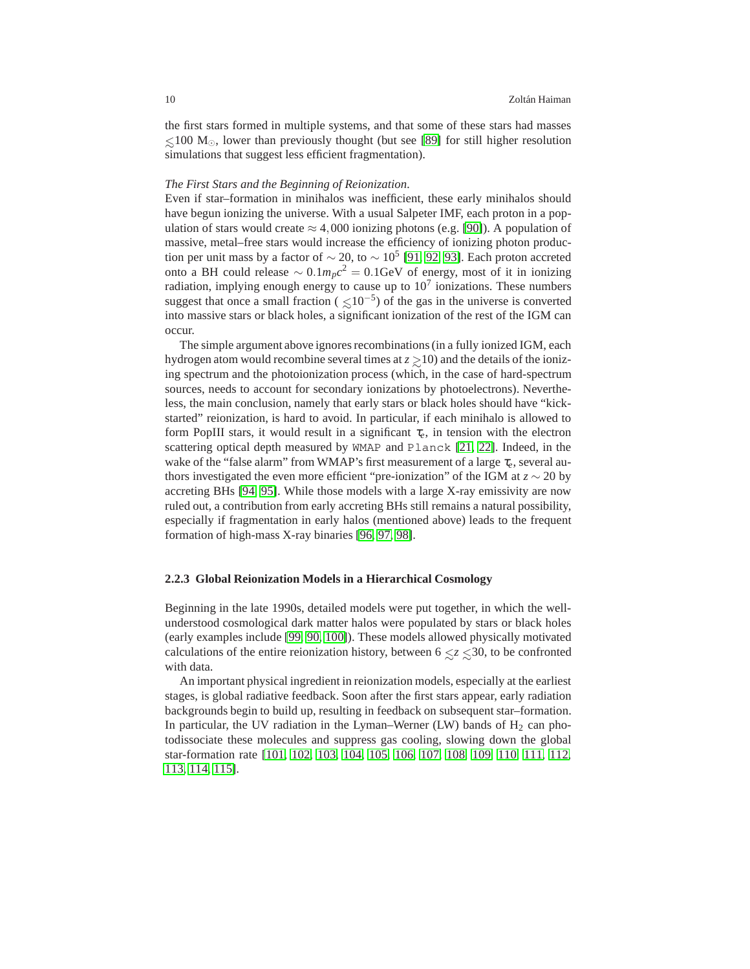the first stars formed in multiple systems, and that some of these stars had masses  $\lesssim$ 100 M<sub>☉</sub>, lower than previously thought (but see [\[89\]](#page-17-16) for still higher resolution simulations that suggest less efficient fragmentation).

#### *The First Stars and the Beginning of Reionization.*

Even if star–formation in minihalos was inefficient, these early minihalos should have begun ionizing the universe. With a usual Salpeter IMF, each proton in a population of stars would create  $\approx 4,000$  ionizing photons (e.g. [\[90\]](#page-17-17)). A population of massive, metal–free stars would increase the efficiency of ionizing photon production per unit mass by a factor of  $\sim$  20, to  $\sim$  10<sup>5</sup> [\[91,](#page-17-18) [92,](#page-17-19) [93\]](#page-17-20). Each proton accreted onto a BH could release  $\sim 0.1 m_p c^2 = 0.1$ GeV of energy, most of it in ionizing radiation, implying enough energy to cause up to  $10<sup>7</sup>$  ionizations. These numbers suggest that once a small fraction ( $\leq 10^{-5}$ ) of the gas in the universe is converted into massive stars or black holes, a significant ionization of the rest of the IGM can occur.

The simple argument above ignores recombinations (in a fully ionized IGM, each hydrogen atom would recombine several times at *z* ≥ 10) and the details of the ionizing spectrum and the photoionization process (which, in the case of hard-spectrum sources, needs to account for secondary ionizations by photoelectrons). Nevertheless, the main conclusion, namely that early stars or black holes should have "kickstarted" reionization, is hard to avoid. In particular, if each minihalo is allowed to form PopIII stars, it would result in a significant  $\tau_e$ , in tension with the electron scattering optical depth measured by WMAP and Planck [\[21,](#page-14-20) [22\]](#page-14-21). Indeed, in the wake of the "false alarm" from WMAP's first measurement of a large  $\tau_e$ , several authors investigated the even more efficient "pre-ionization" of the IGM at *z* ∼ 20 by accreting BHs [\[94,](#page-17-21) [95\]](#page-17-22). While those models with a large X-ray emissivity are now ruled out, a contribution from early accreting BHs still remains a natural possibility, especially if fragmentation in early halos (mentioned above) leads to the frequent formation of high-mass X-ray binaries [\[96,](#page-17-23) [97,](#page-18-0) [98\]](#page-18-1).

## **2.2.3 Global Reionization Models in a Hierarchical Cosmology**

Beginning in the late 1990s, detailed models were put together, in which the wellunderstood cosmological dark matter halos were populated by stars or black holes (early examples include [\[99,](#page-18-2) [90,](#page-17-17) [100\]](#page-18-3)). These models allowed physically motivated calculations of the entire reionization history, between  $6 \le z \le 30$ , to be confronted with data.

An important physical ingredient in reionization models, especially at the earliest stages, is global radiative feedback. Soon after the first stars appear, early radiation backgrounds begin to build up, resulting in feedback on subsequent star–formation. In particular, the UV radiation in the Lyman–Werner (LW) bands of  $H_2$  can photodissociate these molecules and suppress gas cooling, slowing down the global star-formation rate [\[101,](#page-18-4) [102,](#page-18-5) [103,](#page-18-6) [104,](#page-18-7) [105,](#page-18-8) [106,](#page-18-9) [107,](#page-18-10) [108,](#page-18-11) [109,](#page-18-12) [110,](#page-18-13) [111,](#page-18-14) [112,](#page-18-15) [113,](#page-18-16) [114,](#page-18-17) [115\]](#page-18-18).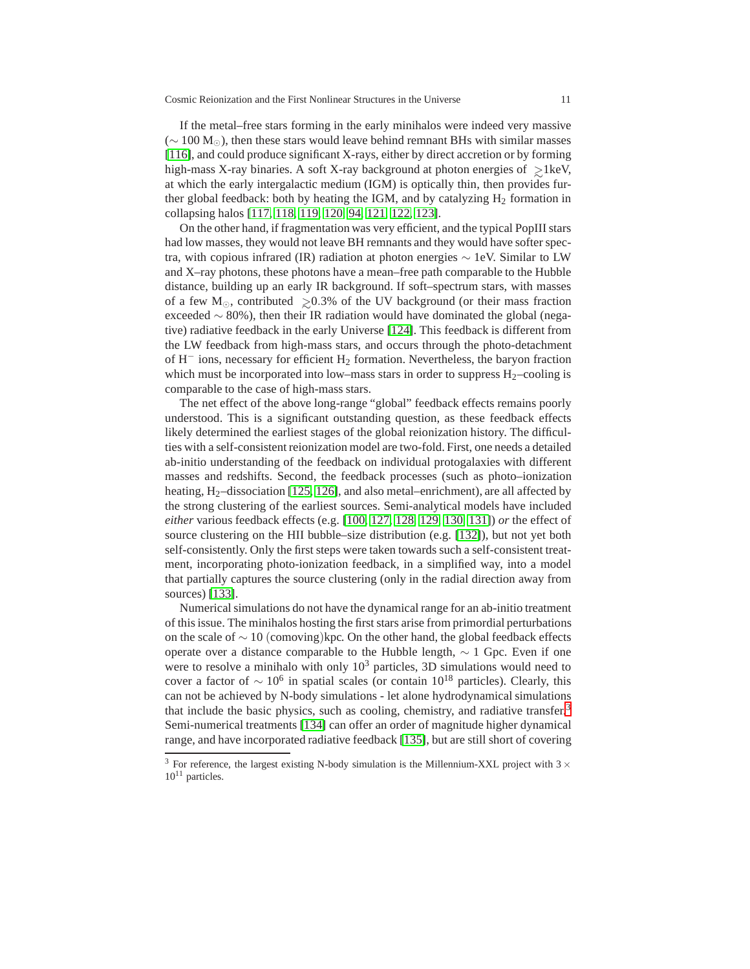If the metal–free stars forming in the early minihalos were indeed very massive  $(\sim 100 \, \text{M}_\odot)$ , then these stars would leave behind remnant BHs with similar masses [\[116\]](#page-18-19), and could produce significant X-rays, either by direct accretion or by forming high-mass X-ray binaries. A soft X-ray background at photon energies of  $\gtrsim$ 1keV, at which the early intergalactic medium (IGM) is optically thin, then provides further global feedback: both by heating the IGM, and by catalyzing  $H_2$  formation in collapsing halos [\[117,](#page-18-20) [118,](#page-18-21) [119,](#page-18-22) [120,](#page-18-23) [94,](#page-17-21) [121,](#page-18-24) [122,](#page-19-0) [123\]](#page-19-1).

On the other hand, if fragmentation was very efficient, and the typical PopIII stars had low masses, they would not leave BH remnants and they would have softer spectra, with copious infrared (IR) radiation at photon energies  $\sim$  1eV. Similar to LW and X–ray photons, these photons have a mean–free path comparable to the Hubble distance, building up an early IR background. If soft–spectrum stars, with masses of a few M<sub>☉</sub>, contributed  $≥0.3%$  of the UV background (or their mass fraction exceeded ∼ 80%), then their IR radiation would have dominated the global (negative) radiative feedback in the early Universe [\[124\]](#page-19-2). This feedback is different from the LW feedback from high-mass stars, and occurs through the photo-detachment of H<sup>−</sup> ions, necessary for efficient H<sup>2</sup> formation. Nevertheless, the baryon fraction which must be incorporated into low–mass stars in order to suppress  $H_2$ –cooling is comparable to the case of high-mass stars.

The net effect of the above long-range "global" feedback effects remains poorly understood. This is a significant outstanding question, as these feedback effects likely determined the earliest stages of the global reionization history. The difficulties with a self-consistent reionization model are two-fold. First, one needs a detailed ab-initio understanding of the feedback on individual protogalaxies with different masses and redshifts. Second, the feedback processes (such as photo–ionization heating,  $H_2$ -dissociation [\[125,](#page-19-3) [126\]](#page-19-4), and also metal-enrichment), are all affected by the strong clustering of the earliest sources. Semi-analytical models have included *either* various feedback effects (e.g. [\[100,](#page-18-3) [127,](#page-19-5) [128,](#page-19-6) [129,](#page-19-7) [130,](#page-19-8) [131\]](#page-19-9)) *or* the effect of source clustering on the HII bubble–size distribution (e.g. [\[132\]](#page-19-10)), but not yet both self-consistently. Only the first steps were taken towards such a self-consistent treatment, incorporating photo-ionization feedback, in a simplified way, into a model that partially captures the source clustering (only in the radial direction away from sources) [\[133\]](#page-19-11).

Numerical simulations do not have the dynamical range for an ab-initio treatment of this issue. The minihalos hosting the first stars arise from primordial perturbations on the scale of ∼ 10 (comoving)kpc. On the other hand, the global feedback effects operate over a distance comparable to the Hubble length,  $\sim 1$  Gpc. Even if one were to resolve a minihalo with only  $10<sup>3</sup>$  particles, 3D simulations would need to cover a factor of  $\sim 10^6$  in spatial scales (or contain  $10^{18}$  particles). Clearly, this can not be achieved by N-body simulations - let alone hydrodynamical simulations that include the basic physics, such as cooling, chemistry, and radiative transfer.<sup>[3](#page-10-0)</sup> Semi-numerical treatments [\[134\]](#page-19-12) can offer an order of magnitude higher dynamical range, and have incorporated radiative feedback [\[135\]](#page-19-13), but are still short of covering

<span id="page-10-0"></span><sup>&</sup>lt;sup>3</sup> For reference, the largest existing N-body simulation is the Millennium-XXL project with  $3 \times$  $10^{11}$  particles.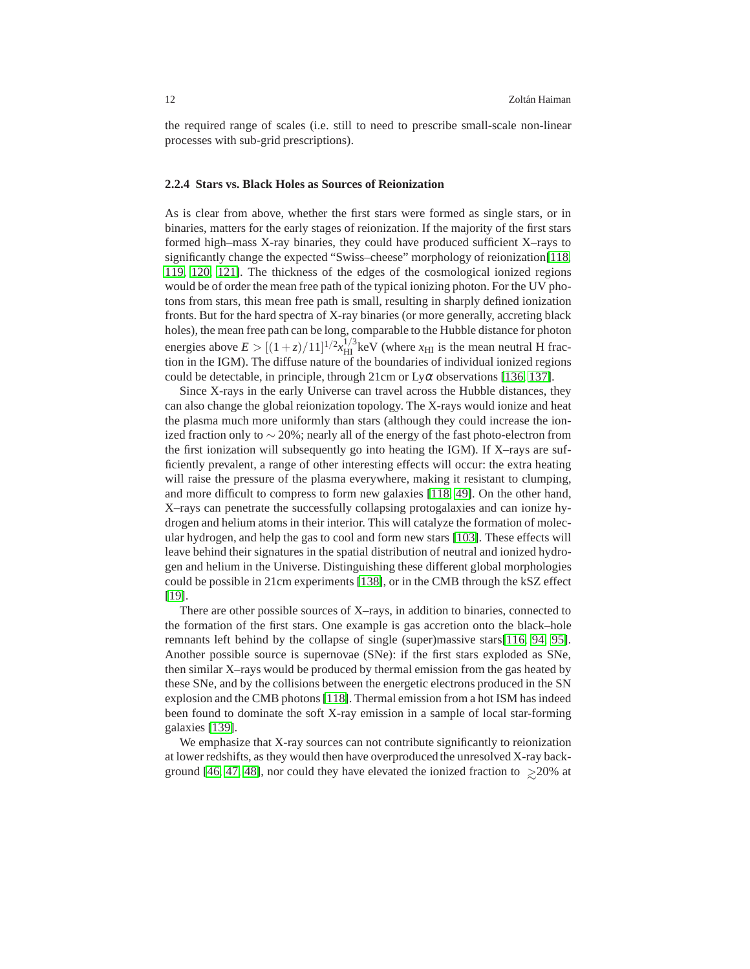the required range of scales (i.e. still to need to prescribe small-scale non-linear processes with sub-grid prescriptions).

## **2.2.4 Stars vs. Black Holes as Sources of Reionization**

As is clear from above, whether the first stars were formed as single stars, or in binaries, matters for the early stages of reionization. If the majority of the first stars formed high–mass X-ray binaries, they could have produced sufficient X–rays to significantly change the expected "Swiss–cheese" morphology of reionization[\[118,](#page-18-21) [119,](#page-18-22) [120,](#page-18-23) [121\]](#page-18-24). The thickness of the edges of the cosmological ionized regions would be of order the mean free path of the typical ionizing photon. For the UV photons from stars, this mean free path is small, resulting in sharply defined ionization fronts. But for the hard spectra of X-ray binaries (or more generally, accreting black holes), the mean free path can be long, comparable to the Hubble distance for photon energies above  $E > [(1 + z)/11]^{1/2} x_{\text{HI}}^{1/3} \text{ keV}$  (where  $x_{\text{HI}}$  is the mean neutral H fraction in the IGM). The diffuse nature of the boundaries of individual ionized regions could be detectable, in principle, through 21cm or  $Ly\alpha$  observations [\[136,](#page-19-14) [137\]](#page-19-15).

Since X-rays in the early Universe can travel across the Hubble distances, they can also change the global reionization topology. The X-rays would ionize and heat the plasma much more uniformly than stars (although they could increase the ionized fraction only to  $\sim$  20%; nearly all of the energy of the fast photo-electron from the first ionization will subsequently go into heating the IGM). If X–rays are sufficiently prevalent, a range of other interesting effects will occur: the extra heating will raise the pressure of the plasma everywhere, making it resistant to clumping, and more difficult to compress to form new galaxies [\[118,](#page-18-21) [49\]](#page-16-1). On the other hand, X–rays can penetrate the successfully collapsing protogalaxies and can ionize hydrogen and helium atoms in their interior. This will catalyze the formation of molecular hydrogen, and help the gas to cool and form new stars [\[103\]](#page-18-6). These effects will leave behind their signatures in the spatial distribution of neutral and ionized hydrogen and helium in the Universe. Distinguishing these different global morphologies could be possible in 21cm experiments [\[138\]](#page-19-16), or in the CMB through the kSZ effect [\[19\]](#page-14-18).

There are other possible sources of X–rays, in addition to binaries, connected to the formation of the first stars. One example is gas accretion onto the black–hole remnants left behind by the collapse of single (super)massive stars[\[116,](#page-18-19) [94,](#page-17-21) [95\]](#page-17-22). Another possible source is supernovae (SNe): if the first stars exploded as SNe, then similar X–rays would be produced by thermal emission from the gas heated by these SNe, and by the collisions between the energetic electrons produced in the SN explosion and the CMB photons [\[118\]](#page-18-21). Thermal emission from a hot ISM has indeed been found to dominate the soft X-ray emission in a sample of local star-forming galaxies [\[139\]](#page-19-17).

We emphasize that X-ray sources can not contribute significantly to reionization at lower redshifts, as they would then have overproduced the unresolved X-ray back-ground [\[46,](#page-15-23) [47,](#page-15-24) [48\]](#page-16-0), nor could they have elevated the ionized fraction to  $\geq 20\%$  at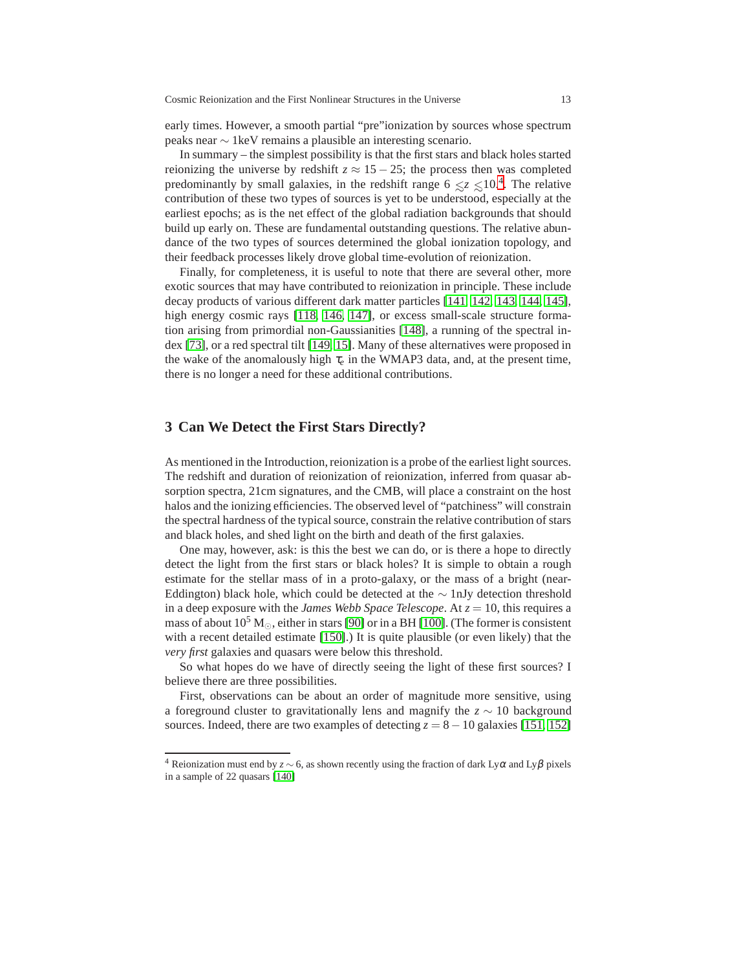early times. However, a smooth partial "pre"ionization by sources whose spectrum peaks near ∼ 1keV remains a plausible an interesting scenario.

In summary – the simplest possibility is that the first stars and black holes started reionizing the universe by redshift  $z \approx 15 - 25$ ; the process then was completed predominantly by small galaxies, in the redshift range  $6 \le z \le 10^{-4}$  $6 \le z \le 10^{-4}$  $6 \le z \le 10^{-4}$ . The relative contribution of these two types of sources is yet to be understood, especially at the earliest epochs; as is the net effect of the global radiation backgrounds that should build up early on. These are fundamental outstanding questions. The relative abundance of the two types of sources determined the global ionization topology, and their feedback processes likely drove global time-evolution of reionization.

Finally, for completeness, it is useful to note that there are several other, more exotic sources that may have contributed to reionization in principle. These include decay products of various different dark matter particles [\[141,](#page-19-18) [142,](#page-19-19) [143,](#page-19-20) [144,](#page-19-21) [145\]](#page-19-22), high energy cosmic rays [\[118,](#page-18-21) [146,](#page-19-23) [147\]](#page-20-0), or excess small-scale structure formation arising from primordial non-Gaussianities [\[148\]](#page-20-1), a running of the spectral index [\[73\]](#page-17-0), or a red spectral tilt [\[149,](#page-20-2) [15\]](#page-14-14). Many of these alternatives were proposed in the wake of the anomalously high  $\tau_e$  in the WMAP3 data, and, at the present time, there is no longer a need for these additional contributions.

# <span id="page-12-0"></span>**3 Can We Detect the First Stars Directly?**

As mentioned in the Introduction, reionization is a probe of the earliest light sources. The redshift and duration of reionization of reionization, inferred from quasar absorption spectra, 21cm signatures, and the CMB, will place a constraint on the host halos and the ionizing efficiencies. The observed level of "patchiness" will constrain the spectral hardness of the typical source, constrain the relative contribution of stars and black holes, and shed light on the birth and death of the first galaxies.

One may, however, ask: is this the best we can do, or is there a hope to directly detect the light from the first stars or black holes? It is simple to obtain a rough estimate for the stellar mass of in a proto-galaxy, or the mass of a bright (near-Eddington) black hole, which could be detected at the  $\sim$  1nJy detection threshold in a deep exposure with the *James Webb Space Telescope*. At  $z = 10$ , this requires a mass of about  $10^5$  M<sub>☉</sub>, either in stars [\[90\]](#page-17-17) or in a BH [\[100\]](#page-18-3). (The former is consistent with a recent detailed estimate [\[150\]](#page-20-3).) It is quite plausible (or even likely) that the *very first* galaxies and quasars were below this threshold.

So what hopes do we have of directly seeing the light of these first sources? I believe there are three possibilities.

First, observations can be about an order of magnitude more sensitive, using a foreground cluster to gravitationally lens and magnify the *z* ∼ 10 background sources. Indeed, there are two examples of detecting  $z = 8 - 10$  galaxies [\[151,](#page-20-4) [152\]](#page-20-5)

<span id="page-12-1"></span><sup>&</sup>lt;sup>4</sup> Reionization must end by *z* ∼ 6, as shown recently using the fraction of dark Lyα and Lyβ pixels in a sample of 22 quasars [\[140\]](#page-19-24)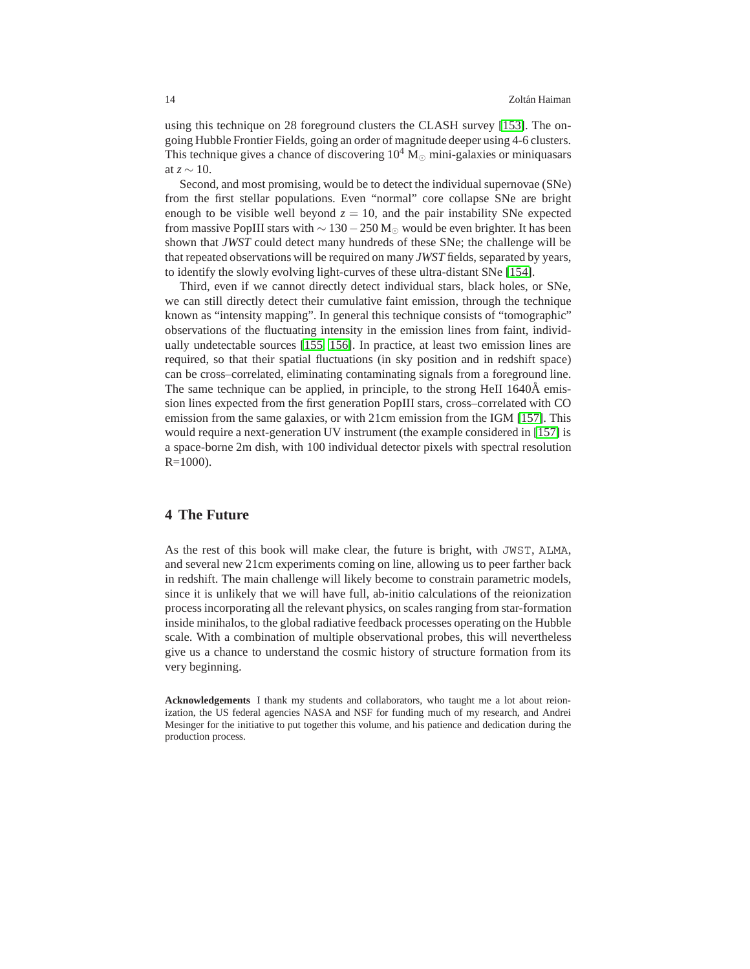using this technique on 28 foreground clusters the CLASH survey [\[153\]](#page-20-6). The ongoing Hubble Frontier Fields, going an order of magnitude deeper using 4-6 clusters. This technique gives a chance of discovering  $10^4$  M<sub>☉</sub> mini-galaxies or miniquasars at *z* ∼ 10.

Second, and most promising, would be to detect the individual supernovae (SNe) from the first stellar populations. Even "normal" core collapse SNe are bright enough to be visible well beyond  $z = 10$ , and the pair instability SNe expected from massive PopIII stars with  $\sim$  130 – 250 M<sub>☉</sub> would be even brighter. It has been shown that *JWST* could detect many hundreds of these SNe; the challenge will be that repeated observations will be required on many *JWST* fields, separated by years, to identify the slowly evolving light-curves of these ultra-distant SNe [\[154\]](#page-20-7).

Third, even if we cannot directly detect individual stars, black holes, or SNe, we can still directly detect their cumulative faint emission, through the technique known as "intensity mapping". In general this technique consists of "tomographic" observations of the fluctuating intensity in the emission lines from faint, individually undetectable sources [\[155,](#page-20-8) [156\]](#page-20-9). In practice, at least two emission lines are required, so that their spatial fluctuations (in sky position and in redshift space) can be cross–correlated, eliminating contaminating signals from a foreground line. The same technique can be applied, in principle, to the strong HeII 1640Å emission lines expected from the first generation PopIII stars, cross–correlated with CO emission from the same galaxies, or with 21cm emission from the IGM [\[157\]](#page-20-10). This would require a next-generation UV instrument (the example considered in [\[157\]](#page-20-10) is a space-borne 2m dish, with 100 individual detector pixels with spectral resolution R=1000).

# **4 The Future**

As the rest of this book will make clear, the future is bright, with JWST, ALMA, and several new 21cm experiments coming on line, allowing us to peer farther back in redshift. The main challenge will likely become to constrain parametric models, since it is unlikely that we will have full, ab-initio calculations of the reionization process incorporating all the relevant physics, on scales ranging from star-formation inside minihalos, to the global radiative feedback processes operating on the Hubble scale. With a combination of multiple observational probes, this will nevertheless give us a chance to understand the cosmic history of structure formation from its very beginning.

**Acknowledgements** I thank my students and collaborators, who taught me a lot about reionization, the US federal agencies NASA and NSF for funding much of my research, and Andrei Mesinger for the initiative to put together this volume, and his patience and dedication during the production process.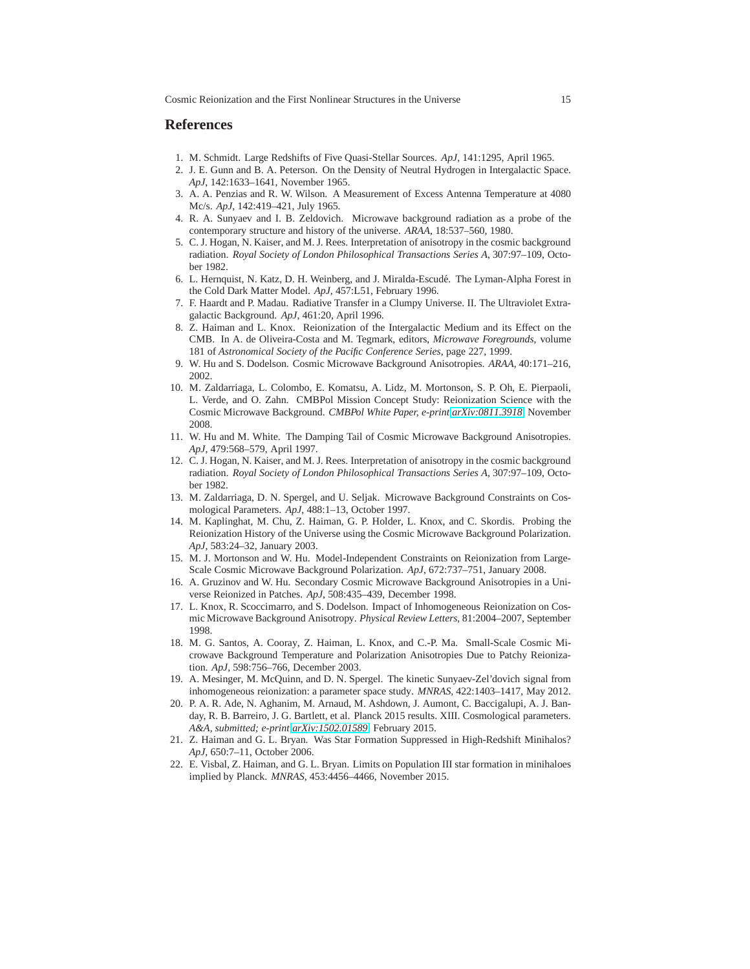## **References**

- <span id="page-14-1"></span><span id="page-14-0"></span>1. M. Schmidt. Large Redshifts of Five Quasi-Stellar Sources. *ApJ*, 141:1295, April 1965.
- 2. J. E. Gunn and B. A. Peterson. On the Density of Neutral Hydrogen in Intergalactic Space. *ApJ*, 142:1633–1641, November 1965.
- <span id="page-14-2"></span>3. A. A. Penzias and R. W. Wilson. A Measurement of Excess Antenna Temperature at 4080 Mc/s. *ApJ*, 142:419–421, July 1965.
- <span id="page-14-3"></span>4. R. A. Sunyaev and I. B. Zeldovich. Microwave background radiation as a probe of the contemporary structure and history of the universe. *ARAA*, 18:537–560, 1980.
- <span id="page-14-4"></span>5. C. J. Hogan, N. Kaiser, and M. J. Rees. Interpretation of anisotropy in the cosmic background radiation. *Royal Society of London Philosophical Transactions Series A*, 307:97–109, October 1982.
- <span id="page-14-5"></span>6. L. Hernquist, N. Katz, D. H. Weinberg, and J. Miralda-Escudé. The Lyman-Alpha Forest in the Cold Dark Matter Model. *ApJ*, 457:L51, February 1996.
- <span id="page-14-6"></span>7. F. Haardt and P. Madau. Radiative Transfer in a Clumpy Universe. II. The Ultraviolet Extragalactic Background. *ApJ*, 461:20, April 1996.
- <span id="page-14-7"></span>8. Z. Haiman and L. Knox. Reionization of the Intergalactic Medium and its Effect on the CMB. In A. de Oliveira-Costa and M. Tegmark, editors, *Microwave Foregrounds*, volume 181 of *Astronomical Society of the Pacific Conference Series*, page 227, 1999.
- <span id="page-14-8"></span>9. W. Hu and S. Dodelson. Cosmic Microwave Background Anisotropies. *ARAA*, 40:171–216, 2002.
- <span id="page-14-9"></span>10. M. Zaldarriaga, L. Colombo, E. Komatsu, A. Lidz, M. Mortonson, S. P. Oh, E. Pierpaoli, L. Verde, and O. Zahn. CMBPol Mission Concept Study: Reionization Science with the Cosmic Microwave Background. *CMBPol White Paper, e-print [arXiv:0811.3918](http://arxiv.org/abs/0811.3918)*, November 2008.
- <span id="page-14-10"></span>11. W. Hu and M. White. The Damping Tail of Cosmic Microwave Background Anisotropies. *ApJ*, 479:568–579, April 1997.
- <span id="page-14-11"></span>12. C. J. Hogan, N. Kaiser, and M. J. Rees. Interpretation of anisotropy in the cosmic background radiation. *Royal Society of London Philosophical Transactions Series A*, 307:97–109, October 1982.
- <span id="page-14-12"></span>13. M. Zaldarriaga, D. N. Spergel, and U. Seljak. Microwave Background Constraints on Cosmological Parameters. *ApJ*, 488:1–13, October 1997.
- <span id="page-14-13"></span>14. M. Kaplinghat, M. Chu, Z. Haiman, G. P. Holder, L. Knox, and C. Skordis. Probing the Reionization History of the Universe using the Cosmic Microwave Background Polarization. *ApJ*, 583:24–32, January 2003.
- <span id="page-14-14"></span>15. M. J. Mortonson and W. Hu. Model-Independent Constraints on Reionization from Large-Scale Cosmic Microwave Background Polarization. *ApJ*, 672:737–751, January 2008.
- <span id="page-14-15"></span>16. A. Gruzinov and W. Hu. Secondary Cosmic Microwave Background Anisotropies in a Universe Reionized in Patches. *ApJ*, 508:435–439, December 1998.
- <span id="page-14-16"></span>17. L. Knox, R. Scoccimarro, and S. Dodelson. Impact of Inhomogeneous Reionization on Cosmic Microwave Background Anisotropy. *Physical Review Letters*, 81:2004–2007, September 1998.
- <span id="page-14-17"></span>18. M. G. Santos, A. Cooray, Z. Haiman, L. Knox, and C.-P. Ma. Small-Scale Cosmic Microwave Background Temperature and Polarization Anisotropies Due to Patchy Reionization. *ApJ*, 598:756–766, December 2003.
- <span id="page-14-18"></span>19. A. Mesinger, M. McQuinn, and D. N. Spergel. The kinetic Sunyaev-Zel'dovich signal from inhomogeneous reionization: a parameter space study. *MNRAS*, 422:1403–1417, May 2012.
- <span id="page-14-19"></span>20. P. A. R. Ade, N. Aghanim, M. Arnaud, M. Ashdown, J. Aumont, C. Baccigalupi, A. J. Banday, R. B. Barreiro, J. G. Bartlett, et al. Planck 2015 results. XIII. Cosmological parameters. *A&A, submitted; e-print [arXiv:1502.01589](http://arxiv.org/abs/1502.01589)*, February 2015.
- <span id="page-14-20"></span>21. Z. Haiman and G. L. Bryan. Was Star Formation Suppressed in High-Redshift Minihalos? *ApJ*, 650:7–11, October 2006.
- <span id="page-14-21"></span>22. E. Visbal, Z. Haiman, and G. L. Bryan. Limits on Population III star formation in minihaloes implied by Planck. *MNRAS*, 453:4456–4466, November 2015.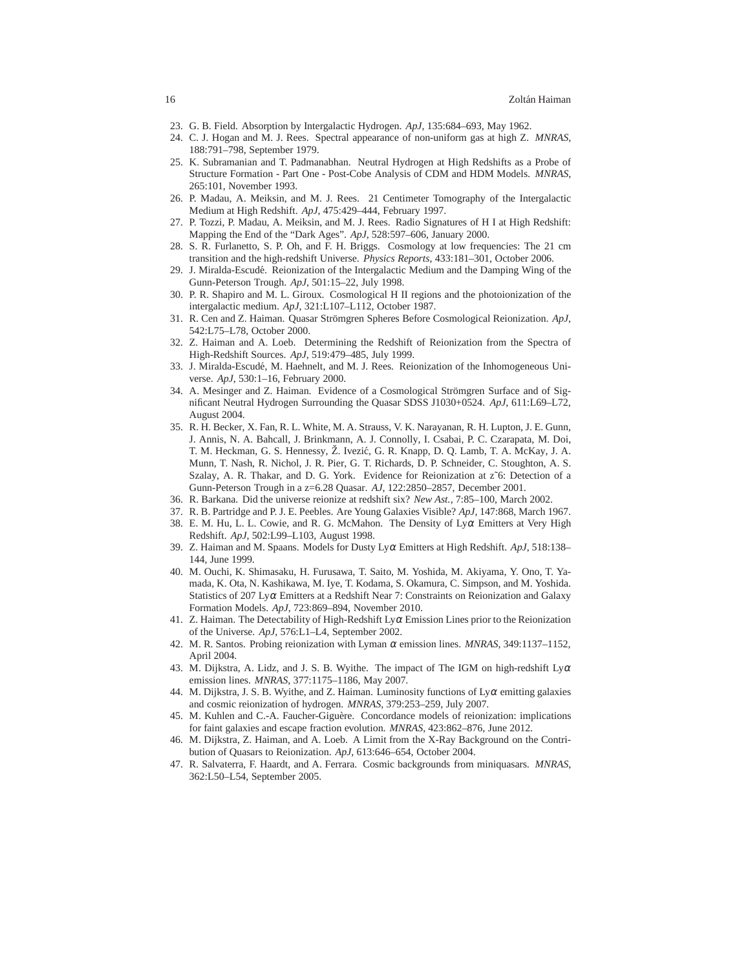- <span id="page-15-1"></span><span id="page-15-0"></span>23. G. B. Field. Absorption by Intergalactic Hydrogen. *ApJ*, 135:684–693, May 1962.
- 24. C. J. Hogan and M. J. Rees. Spectral appearance of non-uniform gas at high Z. *MNRAS*, 188:791–798, September 1979.
- <span id="page-15-2"></span>25. K. Subramanian and T. Padmanabhan. Neutral Hydrogen at High Redshifts as a Probe of Structure Formation - Part One - Post-Cobe Analysis of CDM and HDM Models. *MNRAS*, 265:101, November 1993.
- <span id="page-15-3"></span>26. P. Madau, A. Meiksin, and M. J. Rees. 21 Centimeter Tomography of the Intergalactic Medium at High Redshift. *ApJ*, 475:429–444, February 1997.
- <span id="page-15-4"></span>27. P. Tozzi, P. Madau, A. Meiksin, and M. J. Rees. Radio Signatures of H I at High Redshift: Mapping the End of the "Dark Ages". *ApJ*, 528:597–606, January 2000.
- <span id="page-15-5"></span>28. S. R. Furlanetto, S. P. Oh, and F. H. Briggs. Cosmology at low frequencies: The 21 cm transition and the high-redshift Universe. *Physics Reports*, 433:181–301, October 2006.
- <span id="page-15-6"></span>29. J. Miralda-Escudé. Reionization of the Intergalactic Medium and the Damping Wing of the Gunn-Peterson Trough. *ApJ*, 501:15–22, July 1998.
- <span id="page-15-7"></span>30. P. R. Shapiro and M. L. Giroux. Cosmological H II regions and the photoionization of the intergalactic medium. *ApJ*, 321:L107–L112, October 1987.
- <span id="page-15-8"></span>31. R. Cen and Z. Haiman. Quasar Strömgren Spheres Before Cosmological Reionization. ApJ, 542:L75–L78, October 2000.
- <span id="page-15-9"></span>32. Z. Haiman and A. Loeb. Determining the Redshift of Reionization from the Spectra of High-Redshift Sources. *ApJ*, 519:479–485, July 1999.
- <span id="page-15-10"></span>33. J. Miralda-Escudé, M. Haehnelt, and M. J. Rees. Reionization of the Inhomogeneous Universe. *ApJ*, 530:1–16, February 2000.
- <span id="page-15-11"></span>34. A. Mesinger and Z. Haiman. Evidence of a Cosmological Strömgren Surface and of Significant Neutral Hydrogen Surrounding the Quasar SDSS J1030+0524. *ApJ*, 611:L69–L72, August 2004.
- <span id="page-15-12"></span>35. R. H. Becker, X. Fan, R. L. White, M. A. Strauss, V. K. Narayanan, R. H. Lupton, J. E. Gunn, J. Annis, N. A. Bahcall, J. Brinkmann, A. J. Connolly, I. Csabai, P. C. Czarapata, M. Doi, T. M. Heckman, G. S. Hennessy, Ž. Ivezić, G. R. Knapp, D. Q. Lamb, T. A. McKay, J. A. Munn, T. Nash, R. Nichol, J. R. Pier, G. T. Richards, D. P. Schneider, C. Stoughton, A. S. Szalay, A. R. Thakar, and D. G. York. Evidence for Reionization at z~6: Detection of a Gunn-Peterson Trough in a z=6.28 Quasar. *AJ*, 122:2850–2857, December 2001.
- <span id="page-15-14"></span><span id="page-15-13"></span>36. R. Barkana. Did the universe reionize at redshift six? *New Ast.*, 7:85–100, March 2002.
- <span id="page-15-15"></span>37. R. B. Partridge and P. J. E. Peebles. Are Young Galaxies Visible? *ApJ*, 147:868, March 1967.
- 38. E. M. Hu, L. L. Cowie, and R. G. McMahon. The Density of  $Ly\alpha$  Emitters at Very High Redshift. *ApJ*, 502:L99–L103, August 1998.
- <span id="page-15-16"></span>39. Z. Haiman and M. Spaans. Models for Dusty Ly<sup>α</sup> Emitters at High Redshift. *ApJ*, 518:138– 144, June 1999.
- <span id="page-15-17"></span>40. M. Ouchi, K. Shimasaku, H. Furusawa, T. Saito, M. Yoshida, M. Akiyama, Y. Ono, T. Yamada, K. Ota, N. Kashikawa, M. Iye, T. Kodama, S. Okamura, C. Simpson, and M. Yoshida. Statistics of 207 Ly $\alpha$  Emitters at a Redshift Near 7: Constraints on Reionization and Galaxy Formation Models. *ApJ*, 723:869–894, November 2010.
- <span id="page-15-18"></span>41. Z. Haiman. The Detectability of High-Redshift  $Ly\alpha$  Emission Lines prior to the Reionization of the Universe. *ApJ*, 576:L1–L4, September 2002.
- <span id="page-15-19"></span>42. M. R. Santos. Probing reionization with Lyman <sup>α</sup> emission lines. *MNRAS*, 349:1137–1152, April 2004.
- <span id="page-15-20"></span>43. M. Dijkstra, A. Lidz, and J. S. B. Wyithe. The impact of The IGM on high-redshift  $Ly\alpha$ emission lines. *MNRAS*, 377:1175–1186, May 2007.
- <span id="page-15-21"></span>44. M. Dijkstra, J. S. B. Wyithe, and Z. Haiman. Luminosity functions of  $Ly\alpha$  emitting galaxies and cosmic reionization of hydrogen. *MNRAS*, 379:253–259, July 2007.
- <span id="page-15-22"></span>45. M. Kuhlen and C.-A. Faucher-Giguère. Concordance models of reionization: implications for faint galaxies and escape fraction evolution. *MNRAS*, 423:862–876, June 2012.
- <span id="page-15-23"></span>46. M. Dijkstra, Z. Haiman, and A. Loeb. A Limit from the X-Ray Background on the Contribution of Quasars to Reionization. *ApJ*, 613:646–654, October 2004.
- <span id="page-15-24"></span>47. R. Salvaterra, F. Haardt, and A. Ferrara. Cosmic backgrounds from miniquasars. *MNRAS*, 362:L50–L54, September 2005.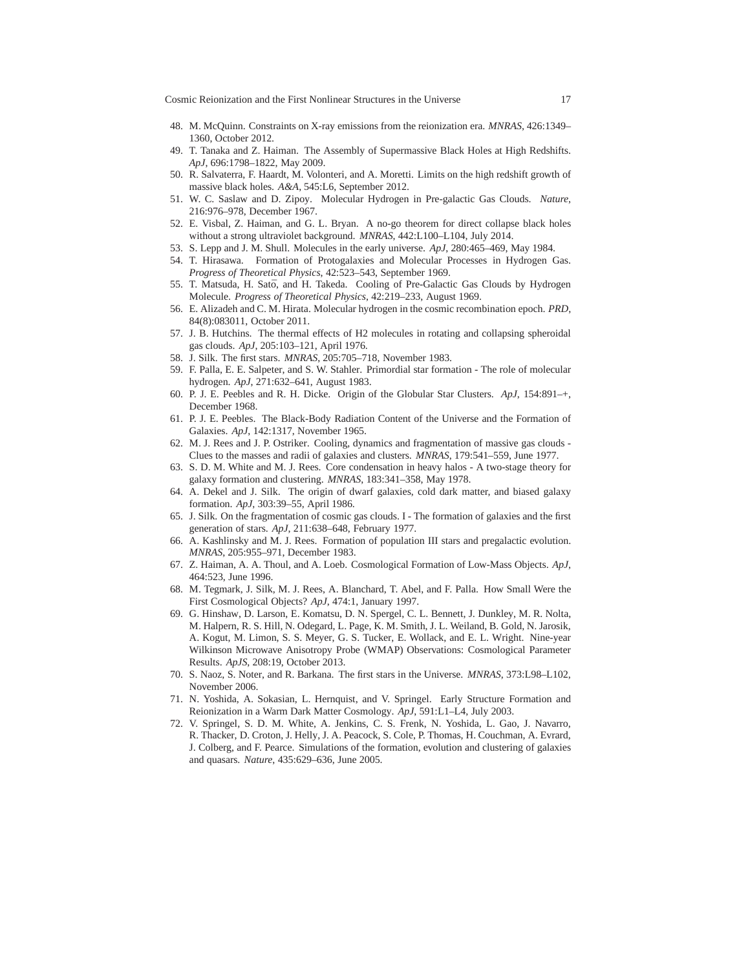<span id="page-16-0"></span>Cosmic Reionization and the First Nonlinear Structures in the Universe 17

- <span id="page-16-1"></span>48. M. McQuinn. Constraints on X-ray emissions from the reionization era. *MNRAS*, 426:1349– 1360, October 2012.
- 49. T. Tanaka and Z. Haiman. The Assembly of Supermassive Black Holes at High Redshifts. *ApJ*, 696:1798–1822, May 2009.
- <span id="page-16-2"></span>50. R. Salvaterra, F. Haardt, M. Volonteri, and A. Moretti. Limits on the high redshift growth of massive black holes. *A&A*, 545:L6, September 2012.
- <span id="page-16-4"></span><span id="page-16-3"></span>51. W. C. Saslaw and D. Zipoy. Molecular Hydrogen in Pre-galactic Gas Clouds. *Nature*, 216:976–978, December 1967.
- 52. E. Visbal, Z. Haiman, and G. L. Bryan. A no-go theorem for direct collapse black holes without a strong ultraviolet background. *MNRAS*, 442:L100–L104, July 2014.
- <span id="page-16-6"></span><span id="page-16-5"></span>53. S. Lepp and J. M. Shull. Molecules in the early universe. *ApJ*, 280:465–469, May 1984.
- 54. T. Hirasawa. Formation of Protogalaxies and Molecular Processes in Hydrogen Gas. *Progress of Theoretical Physics*, 42:523–543, September 1969.
- <span id="page-16-7"></span>55. T. Matsuda, H. Satō, and H. Takeda. Cooling of Pre-Galactic Gas Clouds by Hydrogen Molecule. *Progress of Theoretical Physics*, 42:219–233, August 1969.
- <span id="page-16-21"></span>56. E. Alizadeh and C. M. Hirata. Molecular hydrogen in the cosmic recombination epoch. *PRD*, 84(8):083011, October 2011.
- <span id="page-16-8"></span>57. J. B. Hutchins. The thermal effects of H2 molecules in rotating and collapsing spheroidal gas clouds. *ApJ*, 205:103–121, April 1976.
- <span id="page-16-10"></span><span id="page-16-9"></span>58. J. Silk. The first stars. *MNRAS*, 205:705–718, November 1983.
- 59. F. Palla, E. E. Salpeter, and S. W. Stahler. Primordial star formation The role of molecular hydrogen. *ApJ*, 271:632–641, August 1983.
- <span id="page-16-12"></span><span id="page-16-11"></span>60. P. J. E. Peebles and R. H. Dicke. Origin of the Globular Star Clusters. *ApJ*, 154:891–+, December 1968.
- 61. P. J. E. Peebles. The Black-Body Radiation Content of the Universe and the Formation of Galaxies. *ApJ*, 142:1317, November 1965.
- <span id="page-16-13"></span>62. M. J. Rees and J. P. Ostriker. Cooling, dynamics and fragmentation of massive gas clouds - Clues to the masses and radii of galaxies and clusters. *MNRAS*, 179:541–559, June 1977.
- <span id="page-16-14"></span>63. S. D. M. White and M. J. Rees. Core condensation in heavy halos - A two-stage theory for galaxy formation and clustering. *MNRAS*, 183:341–358, May 1978.
- <span id="page-16-15"></span>64. A. Dekel and J. Silk. The origin of dwarf galaxies, cold dark matter, and biased galaxy formation. *ApJ*, 303:39–55, April 1986.
- <span id="page-16-16"></span>65. J. Silk. On the fragmentation of cosmic gas clouds. I - The formation of galaxies and the first generation of stars. *ApJ*, 211:638–648, February 1977.
- <span id="page-16-17"></span>66. A. Kashlinsky and M. J. Rees. Formation of population III stars and pregalactic evolution. *MNRAS*, 205:955–971, December 1983.
- <span id="page-16-18"></span>67. Z. Haiman, A. A. Thoul, and A. Loeb. Cosmological Formation of Low-Mass Objects. *ApJ*, 464:523, June 1996.
- <span id="page-16-19"></span>68. M. Tegmark, J. Silk, M. J. Rees, A. Blanchard, T. Abel, and F. Palla. How Small Were the First Cosmological Objects? *ApJ*, 474:1, January 1997.
- <span id="page-16-20"></span>69. G. Hinshaw, D. Larson, E. Komatsu, D. N. Spergel, C. L. Bennett, J. Dunkley, M. R. Nolta, M. Halpern, R. S. Hill, N. Odegard, L. Page, K. M. Smith, J. L. Weiland, B. Gold, N. Jarosik, A. Kogut, M. Limon, S. S. Meyer, G. S. Tucker, E. Wollack, and E. L. Wright. Nine-year Wilkinson Microwave Anisotropy Probe (WMAP) Observations: Cosmological Parameter Results. *ApJS*, 208:19, October 2013.
- <span id="page-16-24"></span>70. S. Naoz, S. Noter, and R. Barkana. The first stars in the Universe. *MNRAS*, 373:L98–L102, November 2006.
- <span id="page-16-22"></span>71. N. Yoshida, A. Sokasian, L. Hernquist, and V. Springel. Early Structure Formation and Reionization in a Warm Dark Matter Cosmology. *ApJ*, 591:L1–L4, July 2003.
- <span id="page-16-23"></span>72. V. Springel, S. D. M. White, A. Jenkins, C. S. Frenk, N. Yoshida, L. Gao, J. Navarro, R. Thacker, D. Croton, J. Helly, J. A. Peacock, S. Cole, P. Thomas, H. Couchman, A. Evrard, J. Colberg, and F. Pearce. Simulations of the formation, evolution and clustering of galaxies and quasars. *Nature*, 435:629–636, June 2005.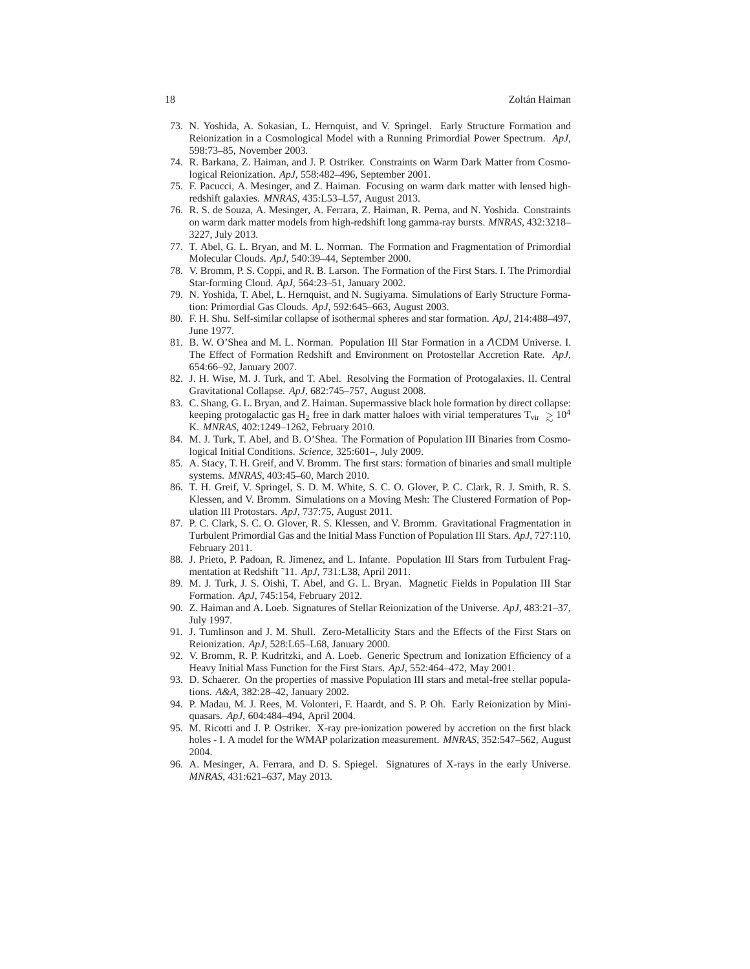- <span id="page-17-0"></span>73. N. Yoshida, A. Sokasian, L. Hernquist, and V. Springel. Early Structure Formation and Reionization in a Cosmological Model with a Running Primordial Power Spectrum. *ApJ*, 598:73–85, November 2003.
- <span id="page-17-1"></span>74. R. Barkana, Z. Haiman, and J. P. Ostriker. Constraints on Warm Dark Matter from Cosmological Reionization. *ApJ*, 558:482–496, September 2001.
- <span id="page-17-2"></span>75. F. Pacucci, A. Mesinger, and Z. Haiman. Focusing on warm dark matter with lensed highredshift galaxies. *MNRAS*, 435:L53–L57, August 2013.
- <span id="page-17-3"></span>76. R. S. de Souza, A. Mesinger, A. Ferrara, Z. Haiman, R. Perna, and N. Yoshida. Constraints on warm dark matter models from high-redshift long gamma-ray bursts. *MNRAS*, 432:3218– 3227, July 2013.
- <span id="page-17-4"></span>77. T. Abel, G. L. Bryan, and M. L. Norman. The Formation and Fragmentation of Primordial Molecular Clouds. *ApJ*, 540:39–44, September 2000.
- <span id="page-17-5"></span>78. V. Bromm, P. S. Coppi, and R. B. Larson. The Formation of the First Stars. I. The Primordial Star-forming Cloud. *ApJ*, 564:23–51, January 2002.
- <span id="page-17-6"></span>79. N. Yoshida, T. Abel, L. Hernquist, and N. Sugiyama. Simulations of Early Structure Formation: Primordial Gas Clouds. *ApJ*, 592:645–663, August 2003.
- <span id="page-17-8"></span><span id="page-17-7"></span>80. F. H. Shu. Self-similar collapse of isothermal spheres and star formation. *ApJ*, 214:488–497, June 1977.
- 81. B. W. O'Shea and M. L. Norman. Population III Star Formation in a <sup>Λ</sup>CDM Universe. I. The Effect of Formation Redshift and Environment on Protostellar Accretion Rate. *ApJ*, 654:66–92, January 2007.
- <span id="page-17-9"></span>82. J. H. Wise, M. J. Turk, and T. Abel. Resolving the Formation of Protogalaxies. II. Central Gravitational Collapse. *ApJ*, 682:745–757, August 2008.
- <span id="page-17-10"></span>83. C. Shang, G. L. Bryan, and Z. Haiman. Supermassive black hole formation by direct collapse: keeping protogalactic gas H<sub>2</sub> free in dark matter haloes with virial temperatures T<sub>vir</sub>  $\gtrsim 10^4$ K. *MNRAS*, 402:1249–1262, February 2010.
- <span id="page-17-11"></span>84. M. J. Turk, T. Abel, and B. O'Shea. The Formation of Population III Binaries from Cosmological Initial Conditions. *Science*, 325:601–, July 2009.
- <span id="page-17-12"></span>85. A. Stacy, T. H. Greif, and V. Bromm. The first stars: formation of binaries and small multiple systems. *MNRAS*, 403:45–60, March 2010.
- <span id="page-17-13"></span>86. T. H. Greif, V. Springel, S. D. M. White, S. C. O. Glover, P. C. Clark, R. J. Smith, R. S. Klessen, and V. Bromm. Simulations on a Moving Mesh: The Clustered Formation of Population III Protostars. *ApJ*, 737:75, August 2011.
- <span id="page-17-14"></span>87. P. C. Clark, S. C. O. Glover, R. S. Klessen, and V. Bromm. Gravitational Fragmentation in Turbulent Primordial Gas and the Initial Mass Function of Population III Stars. *ApJ*, 727:110, February 2011.
- <span id="page-17-15"></span>88. J. Prieto, P. Padoan, R. Jimenez, and L. Infante. Population III Stars from Turbulent Fragmentation at Redshift ˜11. *ApJ*, 731:L38, April 2011.
- <span id="page-17-16"></span>89. M. J. Turk, J. S. Oishi, T. Abel, and G. L. Bryan. Magnetic Fields in Population III Star Formation. *ApJ*, 745:154, February 2012.
- <span id="page-17-17"></span>90. Z. Haiman and A. Loeb. Signatures of Stellar Reionization of the Universe. *ApJ*, 483:21–37, July 1997.
- <span id="page-17-18"></span>91. J. Tumlinson and J. M. Shull. Zero-Metallicity Stars and the Effects of the First Stars on Reionization. *ApJ*, 528:L65–L68, January 2000.
- <span id="page-17-19"></span>92. V. Bromm, R. P. Kudritzki, and A. Loeb. Generic Spectrum and Ionization Efficiency of a Heavy Initial Mass Function for the First Stars. *ApJ*, 552:464–472, May 2001.
- <span id="page-17-20"></span>93. D. Schaerer. On the properties of massive Population III stars and metal-free stellar populations. *A&A*, 382:28–42, January 2002.
- <span id="page-17-21"></span>94. P. Madau, M. J. Rees, M. Volonteri, F. Haardt, and S. P. Oh. Early Reionization by Miniquasars. *ApJ*, 604:484–494, April 2004.
- <span id="page-17-22"></span>95. M. Ricotti and J. P. Ostriker. X-ray pre-ionization powered by accretion on the first black holes - I. A model for the WMAP polarization measurement. *MNRAS*, 352:547–562, August 2004.
- <span id="page-17-23"></span>96. A. Mesinger, A. Ferrara, and D. S. Spiegel. Signatures of X-rays in the early Universe. *MNRAS*, 431:621–637, May 2013.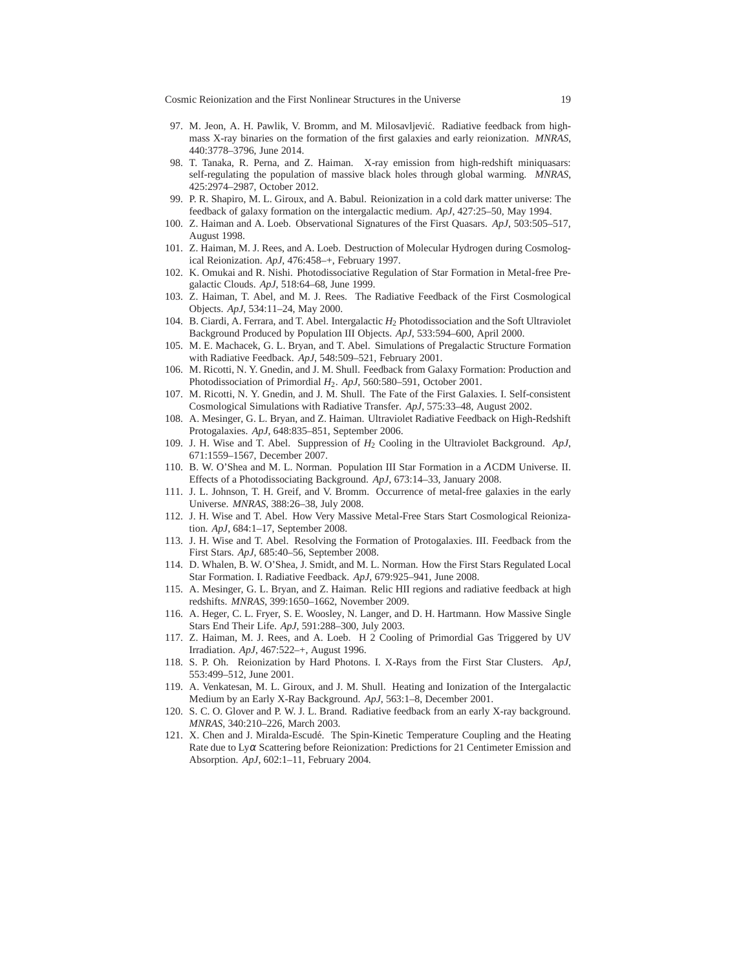<span id="page-18-0"></span>Cosmic Reionization and the First Nonlinear Structures in the Universe 19

- 97. M. Jeon, A. H. Pawlik, V. Bromm, and M. Milosavljević. Radiative feedback from highmass X-ray binaries on the formation of the first galaxies and early reionization. *MNRAS*, 440:3778–3796, June 2014.
- <span id="page-18-1"></span>98. T. Tanaka, R. Perna, and Z. Haiman. X-ray emission from high-redshift miniquasars: self-regulating the population of massive black holes through global warming. *MNRAS*, 425:2974–2987, October 2012.
- <span id="page-18-2"></span>99. P. R. Shapiro, M. L. Giroux, and A. Babul. Reionization in a cold dark matter universe: The feedback of galaxy formation on the intergalactic medium. *ApJ*, 427:25–50, May 1994.
- <span id="page-18-3"></span>100. Z. Haiman and A. Loeb. Observational Signatures of the First Quasars. *ApJ*, 503:505–517, August 1998.
- <span id="page-18-4"></span>101. Z. Haiman, M. J. Rees, and A. Loeb. Destruction of Molecular Hydrogen during Cosmological Reionization. *ApJ*, 476:458–+, February 1997.
- <span id="page-18-5"></span>102. K. Omukai and R. Nishi. Photodissociative Regulation of Star Formation in Metal-free Pregalactic Clouds. *ApJ*, 518:64–68, June 1999.
- <span id="page-18-6"></span>103. Z. Haiman, T. Abel, and M. J. Rees. The Radiative Feedback of the First Cosmological Objects. *ApJ*, 534:11–24, May 2000.
- <span id="page-18-7"></span>104. B. Ciardi, A. Ferrara, and T. Abel. Intergalactic *H*<sup>2</sup> Photodissociation and the Soft Ultraviolet Background Produced by Population III Objects. *ApJ*, 533:594–600, April 2000.
- <span id="page-18-8"></span>105. M. E. Machacek, G. L. Bryan, and T. Abel. Simulations of Pregalactic Structure Formation with Radiative Feedback. *ApJ*, 548:509–521, February 2001.
- <span id="page-18-9"></span>106. M. Ricotti, N. Y. Gnedin, and J. M. Shull. Feedback from Galaxy Formation: Production and Photodissociation of Primordial *H*2. *ApJ*, 560:580–591, October 2001.
- <span id="page-18-10"></span>107. M. Ricotti, N. Y. Gnedin, and J. M. Shull. The Fate of the First Galaxies. I. Self-consistent Cosmological Simulations with Radiative Transfer. *ApJ*, 575:33–48, August 2002.
- <span id="page-18-11"></span>108. A. Mesinger, G. L. Bryan, and Z. Haiman. Ultraviolet Radiative Feedback on High-Redshift Protogalaxies. *ApJ*, 648:835–851, September 2006.
- <span id="page-18-12"></span>109. J. H. Wise and T. Abel. Suppression of *H*<sup>2</sup> Cooling in the Ultraviolet Background. *ApJ*, 671:1559–1567, December 2007.
- <span id="page-18-13"></span>110. B. W. O'Shea and M. L. Norman. Population III Star Formation in a <sup>Λ</sup>CDM Universe. II. Effects of a Photodissociating Background. *ApJ*, 673:14–33, January 2008.
- <span id="page-18-14"></span>111. J. L. Johnson, T. H. Greif, and V. Bromm. Occurrence of metal-free galaxies in the early Universe. *MNRAS*, 388:26–38, July 2008.
- <span id="page-18-15"></span>112. J. H. Wise and T. Abel. How Very Massive Metal-Free Stars Start Cosmological Reionization. *ApJ*, 684:1–17, September 2008.
- <span id="page-18-16"></span>113. J. H. Wise and T. Abel. Resolving the Formation of Protogalaxies. III. Feedback from the First Stars. *ApJ*, 685:40–56, September 2008.
- <span id="page-18-17"></span>114. D. Whalen, B. W. O'Shea, J. Smidt, and M. L. Norman. How the First Stars Regulated Local Star Formation. I. Radiative Feedback. *ApJ*, 679:925–941, June 2008.
- <span id="page-18-18"></span>115. A. Mesinger, G. L. Bryan, and Z. Haiman. Relic HII regions and radiative feedback at high redshifts. *MNRAS*, 399:1650–1662, November 2009.
- <span id="page-18-19"></span>116. A. Heger, C. L. Fryer, S. E. Woosley, N. Langer, and D. H. Hartmann. How Massive Single Stars End Their Life. *ApJ*, 591:288–300, July 2003.
- <span id="page-18-20"></span>117. Z. Haiman, M. J. Rees, and A. Loeb. H 2 Cooling of Primordial Gas Triggered by UV Irradiation. *ApJ*, 467:522–+, August 1996.
- <span id="page-18-21"></span>118. S. P. Oh. Reionization by Hard Photons. I. X-Rays from the First Star Clusters. *ApJ*, 553:499–512, June 2001.
- <span id="page-18-22"></span>119. A. Venkatesan, M. L. Giroux, and J. M. Shull. Heating and Ionization of the Intergalactic Medium by an Early X-Ray Background. *ApJ*, 563:1–8, December 2001.
- <span id="page-18-23"></span>120. S. C. O. Glover and P. W. J. L. Brand. Radiative feedback from an early X-ray background. *MNRAS*, 340:210–226, March 2003.
- <span id="page-18-24"></span>121. X. Chen and J. Miralda-Escudé. The Spin-Kinetic Temperature Coupling and the Heating Rate due to  $Ly\alpha$  Scattering before Reionization: Predictions for 21 Centimeter Emission and Absorption. *ApJ*, 602:1–11, February 2004.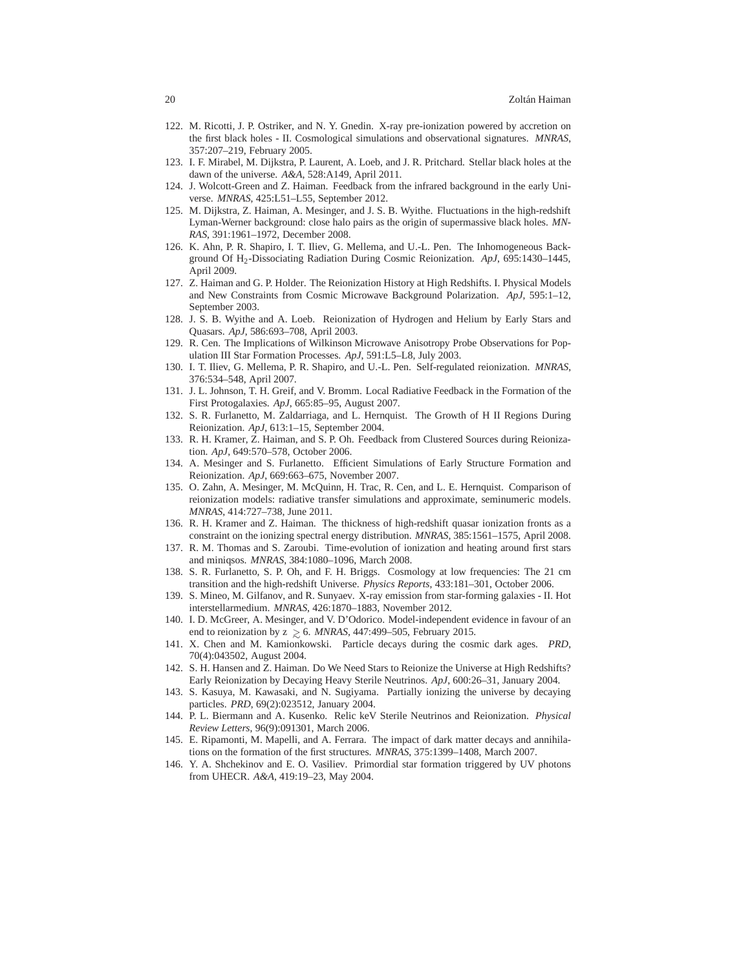- <span id="page-19-0"></span>122. M. Ricotti, J. P. Ostriker, and N. Y. Gnedin. X-ray pre-ionization powered by accretion on the first black holes - II. Cosmological simulations and observational signatures. *MNRAS*, 357:207–219, February 2005.
- <span id="page-19-1"></span>123. I. F. Mirabel, M. Dijkstra, P. Laurent, A. Loeb, and J. R. Pritchard. Stellar black holes at the dawn of the universe. *A&A*, 528:A149, April 2011.
- <span id="page-19-2"></span>124. J. Wolcott-Green and Z. Haiman. Feedback from the infrared background in the early Universe. *MNRAS*, 425:L51–L55, September 2012.
- <span id="page-19-3"></span>125. M. Dijkstra, Z. Haiman, A. Mesinger, and J. S. B. Wyithe. Fluctuations in the high-redshift Lyman-Werner background: close halo pairs as the origin of supermassive black holes. *MN-RAS*, 391:1961–1972, December 2008.
- <span id="page-19-4"></span>126. K. Ahn, P. R. Shapiro, I. T. Iliev, G. Mellema, and U.-L. Pen. The Inhomogeneous Background Of H2-Dissociating Radiation During Cosmic Reionization. *ApJ*, 695:1430–1445, April 2009.
- <span id="page-19-5"></span>127. Z. Haiman and G. P. Holder. The Reionization History at High Redshifts. I. Physical Models and New Constraints from Cosmic Microwave Background Polarization. *ApJ*, 595:1–12, September 2003.
- <span id="page-19-6"></span>128. J. S. B. Wyithe and A. Loeb. Reionization of Hydrogen and Helium by Early Stars and Quasars. *ApJ*, 586:693–708, April 2003.
- <span id="page-19-7"></span>129. R. Cen. The Implications of Wilkinson Microwave Anisotropy Probe Observations for Population III Star Formation Processes. *ApJ*, 591:L5–L8, July 2003.
- <span id="page-19-8"></span>130. I. T. Iliev, G. Mellema, P. R. Shapiro, and U.-L. Pen. Self-regulated reionization. *MNRAS*, 376:534–548, April 2007.
- <span id="page-19-9"></span>131. J. L. Johnson, T. H. Greif, and V. Bromm. Local Radiative Feedback in the Formation of the First Protogalaxies. *ApJ*, 665:85–95, August 2007.
- <span id="page-19-10"></span>132. S. R. Furlanetto, M. Zaldarriaga, and L. Hernquist. The Growth of H II Regions During Reionization. *ApJ*, 613:1–15, September 2004.
- <span id="page-19-11"></span>133. R. H. Kramer, Z. Haiman, and S. P. Oh. Feedback from Clustered Sources during Reionization. *ApJ*, 649:570–578, October 2006.
- <span id="page-19-12"></span>134. A. Mesinger and S. Furlanetto. Efficient Simulations of Early Structure Formation and Reionization. *ApJ*, 669:663–675, November 2007.
- <span id="page-19-13"></span>135. O. Zahn, A. Mesinger, M. McQuinn, H. Trac, R. Cen, and L. E. Hernquist. Comparison of reionization models: radiative transfer simulations and approximate, seminumeric models. *MNRAS*, 414:727–738, June 2011.
- <span id="page-19-14"></span>136. R. H. Kramer and Z. Haiman. The thickness of high-redshift quasar ionization fronts as a constraint on the ionizing spectral energy distribution. *MNRAS*, 385:1561–1575, April 2008.
- <span id="page-19-15"></span>137. R. M. Thomas and S. Zaroubi. Time-evolution of ionization and heating around first stars and miniqsos. *MNRAS*, 384:1080–1096, March 2008.
- <span id="page-19-16"></span>138. S. R. Furlanetto, S. P. Oh, and F. H. Briggs. Cosmology at low frequencies: The 21 cm transition and the high-redshift Universe. *Physics Reports*, 433:181–301, October 2006.
- <span id="page-19-17"></span>139. S. Mineo, M. Gilfanov, and R. Sunyaev. X-ray emission from star-forming galaxies - II. Hot interstellarmedium. *MNRAS*, 426:1870–1883, November 2012.
- <span id="page-19-24"></span>140. I. D. McGreer, A. Mesinger, and V. D'Odorico. Model-independent evidence in favour of an end to reionization by z  $\geq 6$ . *MNRAS*, 447:499–505, February 2015.
- <span id="page-19-18"></span>141. X. Chen and M. Kamionkowski. Particle decays during the cosmic dark ages. *PRD*, 70(4):043502, August 2004.
- <span id="page-19-19"></span>142. S. H. Hansen and Z. Haiman. Do We Need Stars to Reionize the Universe at High Redshifts? Early Reionization by Decaying Heavy Sterile Neutrinos. *ApJ*, 600:26–31, January 2004.
- <span id="page-19-20"></span>143. S. Kasuya, M. Kawasaki, and N. Sugiyama. Partially ionizing the universe by decaying particles. *PRD*, 69(2):023512, January 2004.
- <span id="page-19-21"></span>144. P. L. Biermann and A. Kusenko. Relic keV Sterile Neutrinos and Reionization. *Physical Review Letters*, 96(9):091301, March 2006.
- <span id="page-19-22"></span>145. E. Ripamonti, M. Mapelli, and A. Ferrara. The impact of dark matter decays and annihilations on the formation of the first structures. *MNRAS*, 375:1399–1408, March 2007.
- <span id="page-19-23"></span>146. Y. A. Shchekinov and E. O. Vasiliev. Primordial star formation triggered by UV photons from UHECR. *A&A*, 419:19–23, May 2004.